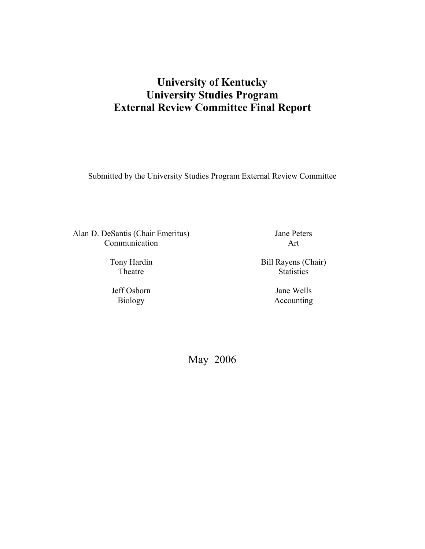# **University of Kentucky University Studies Program External Review Committee Final Report**

Submitted by the University Studies Program External Review Committee

Alan D. DeSantis (Chair Emeritus) Communication

> Tony Hardin Theatre

Jeff Osborn Biology

Jane Peters Art

Bill Rayens (Chair) **Statistics** 

> Jane Wells Accounting

May 2006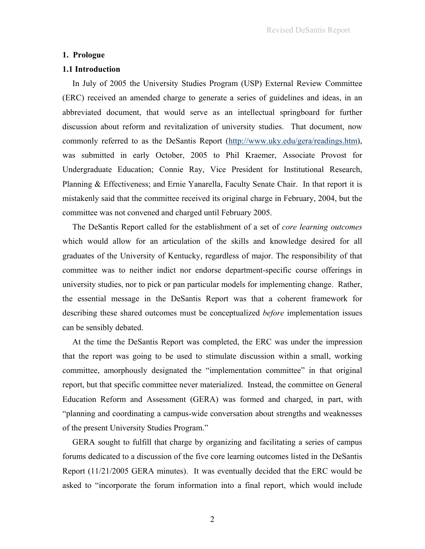#### **1. Prologue**

#### **1.1 Introduction**

In July of 2005 the University Studies Program (USP) External Review Committee (ERC) received an amended charge to generate a series of guidelines and ideas, in an abbreviated document, that would serve as an intellectual springboard for further discussion about reform and revitalization of university studies. That document, now commonly referred to as the DeSantis Report (http://www.uky.edu/gera/readings.htm), was submitted in early October, 2005 to Phil Kraemer, Associate Provost for Undergraduate Education; Connie Ray, Vice President for Institutional Research, Planning & Effectiveness; and Ernie Yanarella, Faculty Senate Chair. In that report it is mistakenly said that the committee received its original charge in February, 2004, but the committee was not convened and charged until February 2005.

The DeSantis Report called for the establishment of a set of *core learning outcomes* which would allow for an articulation of the skills and knowledge desired for all graduates of the University of Kentucky, regardless of major. The responsibility of that committee was to neither indict nor endorse department-specific course offerings in university studies, nor to pick or pan particular models for implementing change. Rather, the essential message in the DeSantis Report was that a coherent framework for describing these shared outcomes must be conceptualized *before* implementation issues can be sensibly debated.

At the time the DeSantis Report was completed, the ERC was under the impression that the report was going to be used to stimulate discussion within a small, working committee, amorphously designated the "implementation committee" in that original report, but that specific committee never materialized. Instead, the committee on General Education Reform and Assessment (GERA) was formed and charged, in part, with "planning and coordinating a campus-wide conversation about strengths and weaknesses of the present University Studies Program."

GERA sought to fulfill that charge by organizing and facilitating a series of campus forums dedicated to a discussion of the five core learning outcomes listed in the DeSantis Report (11/21/2005 GERA minutes). It was eventually decided that the ERC would be asked to "incorporate the forum information into a final report, which would include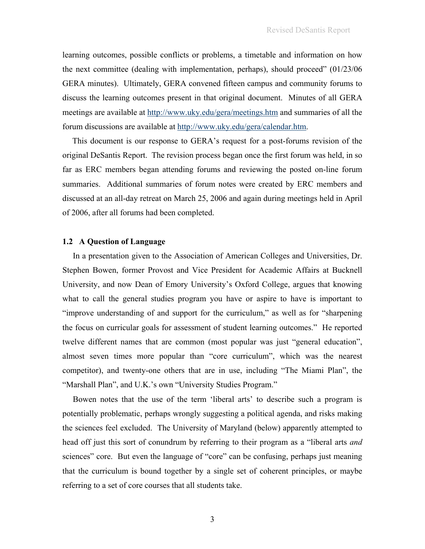learning outcomes, possible conflicts or problems, a timetable and information on how the next committee (dealing with implementation, perhaps), should proceed" (01/23/06 GERA minutes). Ultimately, GERA convened fifteen campus and community forums to discuss the learning outcomes present in that original document. Minutes of all GERA meetings are available at http://www.uky.edu/gera/meetings.htm and summaries of all the forum discussions are available at http://www.uky.edu/gera/calendar.htm.

This document is our response to GERA's request for a post-forums revision of the original DeSantis Report. The revision process began once the first forum was held, in so far as ERC members began attending forums and reviewing the posted on-line forum summaries. Additional summaries of forum notes were created by ERC members and discussed at an all-day retreat on March 25, 2006 and again during meetings held in April of 2006, after all forums had been completed.

### **1.2 A Question of Language**

 In a presentation given to the Association of American Colleges and Universities, Dr. Stephen Bowen, former Provost and Vice President for Academic Affairs at Bucknell University, and now Dean of Emory University's Oxford College, argues that knowing what to call the general studies program you have or aspire to have is important to "improve understanding of and support for the curriculum," as well as for "sharpening the focus on curricular goals for assessment of student learning outcomes." He reported twelve different names that are common (most popular was just "general education", almost seven times more popular than "core curriculum", which was the nearest competitor), and twenty-one others that are in use, including "The Miami Plan", the "Marshall Plan", and U.K.'s own "University Studies Program."

 Bowen notes that the use of the term 'liberal arts' to describe such a program is potentially problematic, perhaps wrongly suggesting a political agenda, and risks making the sciences feel excluded. The University of Maryland (below) apparently attempted to head off just this sort of conundrum by referring to their program as a "liberal arts *and* sciences" core. But even the language of "core" can be confusing, perhaps just meaning that the curriculum is bound together by a single set of coherent principles, or maybe referring to a set of core courses that all students take.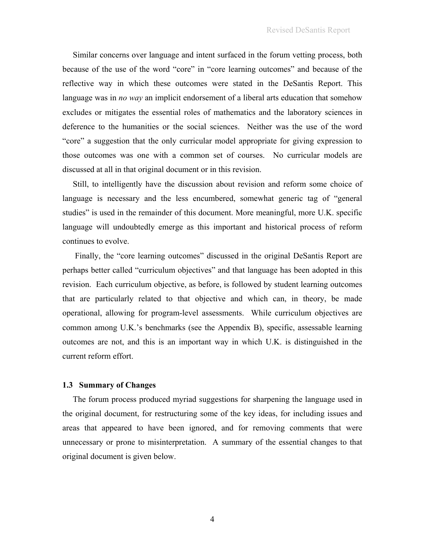Similar concerns over language and intent surfaced in the forum vetting process, both because of the use of the word "core" in "core learning outcomes" and because of the reflective way in which these outcomes were stated in the DeSantis Report. This language was in *no way* an implicit endorsement of a liberal arts education that somehow excludes or mitigates the essential roles of mathematics and the laboratory sciences in deference to the humanities or the social sciences. Neither was the use of the word "core" a suggestion that the only curricular model appropriate for giving expression to those outcomes was one with a common set of courses. No curricular models are discussed at all in that original document or in this revision.

 Still, to intelligently have the discussion about revision and reform some choice of language is necessary and the less encumbered, somewhat generic tag of "general studies" is used in the remainder of this document. More meaningful, more U.K. specific language will undoubtedly emerge as this important and historical process of reform continues to evolve.

 Finally, the "core learning outcomes" discussed in the original DeSantis Report are perhaps better called "curriculum objectives" and that language has been adopted in this revision. Each curriculum objective, as before, is followed by student learning outcomes that are particularly related to that objective and which can, in theory, be made operational, allowing for program-level assessments. While curriculum objectives are common among U.K.'s benchmarks (see the Appendix B), specific, assessable learning outcomes are not, and this is an important way in which U.K. is distinguished in the current reform effort.

# **1.3 Summary of Changes**

 The forum process produced myriad suggestions for sharpening the language used in the original document, for restructuring some of the key ideas, for including issues and areas that appeared to have been ignored, and for removing comments that were unnecessary or prone to misinterpretation. A summary of the essential changes to that original document is given below.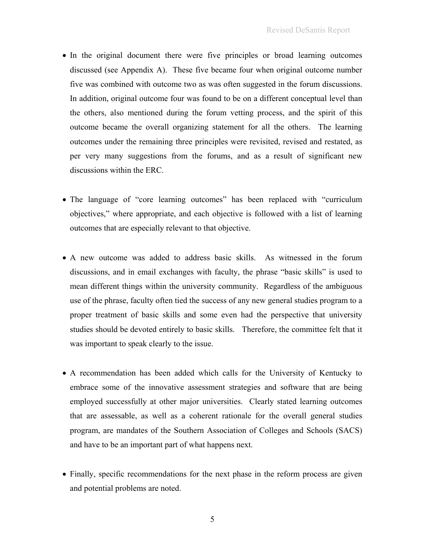- In the original document there were five principles or broad learning outcomes discussed (see Appendix A). These five became four when original outcome number five was combined with outcome two as was often suggested in the forum discussions. In addition, original outcome four was found to be on a different conceptual level than the others, also mentioned during the forum vetting process, and the spirit of this outcome became the overall organizing statement for all the others. The learning outcomes under the remaining three principles were revisited, revised and restated, as per very many suggestions from the forums, and as a result of significant new discussions within the ERC.
- The language of "core learning outcomes" has been replaced with "curriculum objectives," where appropriate, and each objective is followed with a list of learning outcomes that are especially relevant to that objective.
- A new outcome was added to address basic skills. As witnessed in the forum discussions, and in email exchanges with faculty, the phrase "basic skills" is used to mean different things within the university community. Regardless of the ambiguous use of the phrase, faculty often tied the success of any new general studies program to a proper treatment of basic skills and some even had the perspective that university studies should be devoted entirely to basic skills. Therefore, the committee felt that it was important to speak clearly to the issue.
- A recommendation has been added which calls for the University of Kentucky to embrace some of the innovative assessment strategies and software that are being employed successfully at other major universities. Clearly stated learning outcomes that are assessable, as well as a coherent rationale for the overall general studies program, are mandates of the Southern Association of Colleges and Schools (SACS) and have to be an important part of what happens next.
- Finally, specific recommendations for the next phase in the reform process are given and potential problems are noted.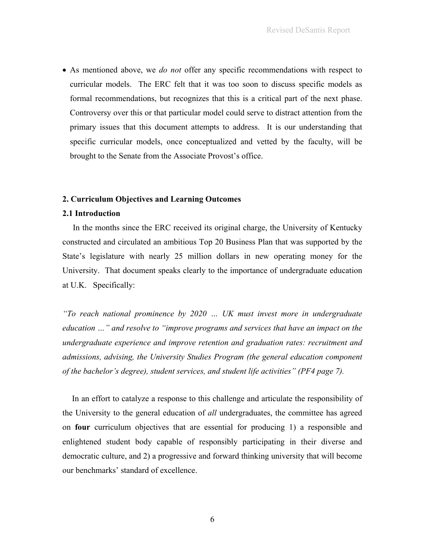• As mentioned above, we *do not* offer any specific recommendations with respect to curricular models. The ERC felt that it was too soon to discuss specific models as formal recommendations, but recognizes that this is a critical part of the next phase. Controversy over this or that particular model could serve to distract attention from the primary issues that this document attempts to address. It is our understanding that specific curricular models, once conceptualized and vetted by the faculty, will be brought to the Senate from the Associate Provost's office.

### **2. Curriculum Objectives and Learning Outcomes**

## **2.1 Introduction**

 In the months since the ERC received its original charge, the University of Kentucky constructed and circulated an ambitious Top 20 Business Plan that was supported by the State's legislature with nearly 25 million dollars in new operating money for the University. That document speaks clearly to the importance of undergraduate education at U.K. Specifically:

*"To reach national prominence by 2020 … UK must invest more in undergraduate education …" and resolve to "improve programs and services that have an impact on the undergraduate experience and improve retention and graduation rates: recruitment and admissions, advising, the University Studies Program (the general education component of the bachelor's degree), student services, and student life activities" (PF4 page 7).*

 In an effort to catalyze a response to this challenge and articulate the responsibility of the University to the general education of *all* undergraduates, the committee has agreed on **four** curriculum objectives that are essential for producing 1) a responsible and enlightened student body capable of responsibly participating in their diverse and democratic culture, and 2) a progressive and forward thinking university that will become our benchmarks' standard of excellence.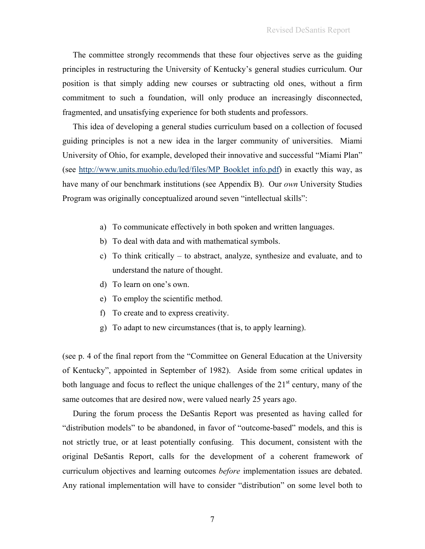The committee strongly recommends that these four objectives serve as the guiding principles in restructuring the University of Kentucky's general studies curriculum. Our position is that simply adding new courses or subtracting old ones, without a firm commitment to such a foundation, will only produce an increasingly disconnected, fragmented, and unsatisfying experience for both students and professors.

 This idea of developing a general studies curriculum based on a collection of focused guiding principles is not a new idea in the larger community of universities. Miami University of Ohio, for example, developed their innovative and successful "Miami Plan" (see http://www.units.muohio.edu/led/files/MP Booklet info.pdf) in exactly this way, as have many of our benchmark institutions (see Appendix B). Our *own* University Studies Program was originally conceptualized around seven "intellectual skills":

- a) To communicate effectively in both spoken and written languages.
- b) To deal with data and with mathematical symbols.
- c) To think critically to abstract, analyze, synthesize and evaluate, and to understand the nature of thought.
- d) To learn on one's own.
- e) To employ the scientific method.
- f) To create and to express creativity.
- g) To adapt to new circumstances (that is, to apply learning).

(see p. 4 of the final report from the "Committee on General Education at the University of Kentucky", appointed in September of 1982). Aside from some critical updates in both language and focus to reflect the unique challenges of the  $21<sup>st</sup>$  century, many of the same outcomes that are desired now, were valued nearly 25 years ago.

 During the forum process the DeSantis Report was presented as having called for "distribution models" to be abandoned, in favor of "outcome-based" models, and this is not strictly true, or at least potentially confusing. This document, consistent with the original DeSantis Report, calls for the development of a coherent framework of curriculum objectives and learning outcomes *before* implementation issues are debated. Any rational implementation will have to consider "distribution" on some level both to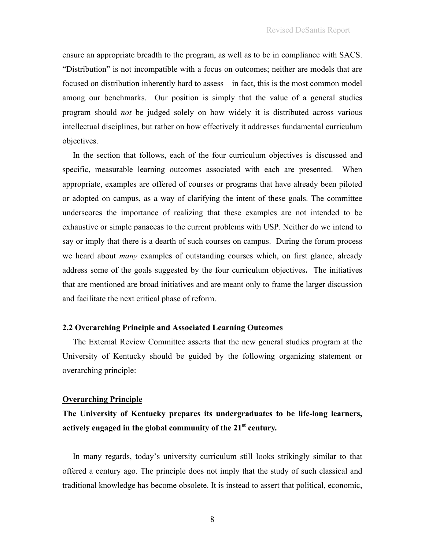ensure an appropriate breadth to the program, as well as to be in compliance with SACS. "Distribution" is not incompatible with a focus on outcomes; neither are models that are focused on distribution inherently hard to assess – in fact, this is the most common model among our benchmarks. Our position is simply that the value of a general studies program should *not* be judged solely on how widely it is distributed across various intellectual disciplines, but rather on how effectively it addresses fundamental curriculum objectives.

 In the section that follows, each of the four curriculum objectives is discussed and specific, measurable learning outcomes associated with each are presented. When appropriate, examples are offered of courses or programs that have already been piloted or adopted on campus, as a way of clarifying the intent of these goals. The committee underscores the importance of realizing that these examples are not intended to be exhaustive or simple panaceas to the current problems with USP. Neither do we intend to say or imply that there is a dearth of such courses on campus. During the forum process we heard about *many* examples of outstanding courses which, on first glance, already address some of the goals suggested by the four curriculum objectives**.** The initiatives that are mentioned are broad initiatives and are meant only to frame the larger discussion and facilitate the next critical phase of reform.

### **2.2 Overarching Principle and Associated Learning Outcomes**

 The External Review Committee asserts that the new general studies program at the University of Kentucky should be guided by the following organizing statement or overarching principle:

#### **Overarching Principle**

# **The University of Kentucky prepares its undergraduates to be life-long learners, actively engaged in the global community of the 21st century***.*

 In many regards, today's university curriculum still looks strikingly similar to that offered a century ago. The principle does not imply that the study of such classical and traditional knowledge has become obsolete. It is instead to assert that political, economic,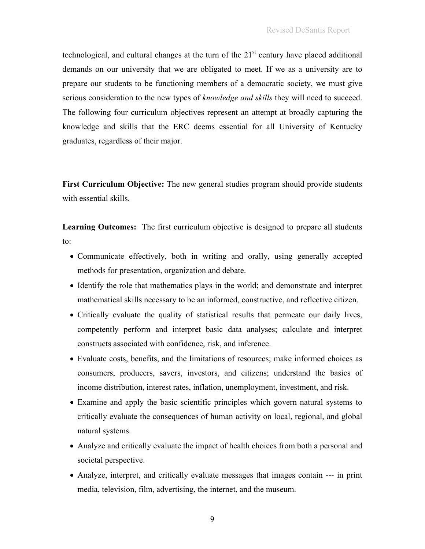technological, and cultural changes at the turn of the  $21<sup>st</sup>$  century have placed additional demands on our university that we are obligated to meet. If we as a university are to prepare our students to be functioning members of a democratic society, we must give serious consideration to the new types of *knowledge and skills* they will need to succeed. The following four curriculum objectives represent an attempt at broadly capturing the knowledge and skills that the ERC deems essential for all University of Kentucky graduates, regardless of their major.

**First Curriculum Objective:** The new general studies program should provide students with essential skills.

**Learning Outcomes:** The first curriculum objective is designed to prepare all students to:

- Communicate effectively, both in writing and orally, using generally accepted methods for presentation, organization and debate.
- Identify the role that mathematics plays in the world; and demonstrate and interpret mathematical skills necessary to be an informed, constructive, and reflective citizen.
- Critically evaluate the quality of statistical results that permeate our daily lives, competently perform and interpret basic data analyses; calculate and interpret constructs associated with confidence, risk, and inference.
- Evaluate costs, benefits, and the limitations of resources; make informed choices as consumers, producers, savers, investors, and citizens; understand the basics of income distribution, interest rates, inflation, unemployment, investment, and risk.
- Examine and apply the basic scientific principles which govern natural systems to critically evaluate the consequences of human activity on local, regional, and global natural systems.
- Analyze and critically evaluate the impact of health choices from both a personal and societal perspective.
- Analyze, interpret, and critically evaluate messages that images contain --- in print media, television, film, advertising, the internet, and the museum.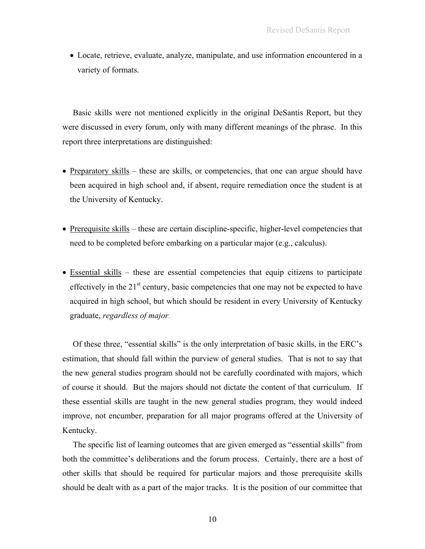• Locate, retrieve, evaluate, analyze, manipulate, and use information encountered in a variety of formats.

 Basic skills were not mentioned explicitly in the original DeSantis Report, but they were discussed in every forum, only with many different meanings of the phrase. In this report three interpretations are distinguished:

- Preparatory skills these are skills, or competencies, that one can argue should have been acquired in high school and, if absent, require remediation once the student is at the University of Kentucky.
- Prerequisite skills these are certain discipline-specific, higher-level competencies that need to be completed before embarking on a particular major (e.g., calculus).
- Essential skills these are essential competencies that equip citizens to participate effectively in the  $21<sup>st</sup>$  century, basic competencies that one may not be expected to have acquired in high school, but which should be resident in every University of Kentucky graduate, *regardless of major.*

 Of these three, "essential skills" is the only interpretation of basic skills, in the ERC's estimation, that should fall within the purview of general studies. That is not to say that the new general studies program should not be carefully coordinated with majors, which of course it should. But the majors should not dictate the content of that curriculum. If these essential skills are taught in the new general studies program, they would indeed improve, not encumber, preparation for all major programs offered at the University of Kentucky.

 The specific list of learning outcomes that are given emerged as "essential skills" from both the committee's deliberations and the forum process. Certainly, there are a host of other skills that should be required for particular majors and those prerequisite skills should be dealt with as a part of the major tracks. It is the position of our committee that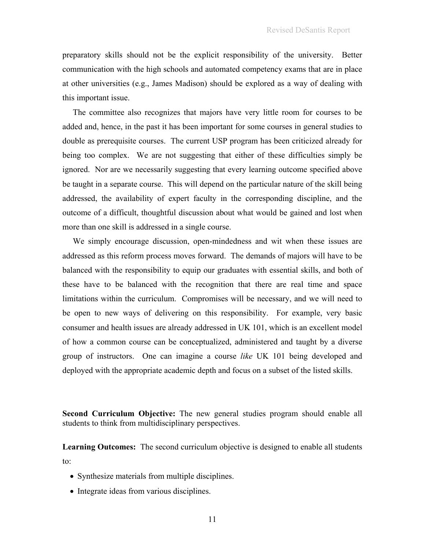preparatory skills should not be the explicit responsibility of the university. Better communication with the high schools and automated competency exams that are in place at other universities (e.g., James Madison) should be explored as a way of dealing with this important issue.

 The committee also recognizes that majors have very little room for courses to be added and, hence, in the past it has been important for some courses in general studies to double as prerequisite courses. The current USP program has been criticized already for being too complex. We are not suggesting that either of these difficulties simply be ignored. Nor are we necessarily suggesting that every learning outcome specified above be taught in a separate course. This will depend on the particular nature of the skill being addressed, the availability of expert faculty in the corresponding discipline, and the outcome of a difficult, thoughtful discussion about what would be gained and lost when more than one skill is addressed in a single course.

 We simply encourage discussion, open-mindedness and wit when these issues are addressed as this reform process moves forward. The demands of majors will have to be balanced with the responsibility to equip our graduates with essential skills, and both of these have to be balanced with the recognition that there are real time and space limitations within the curriculum. Compromises will be necessary, and we will need to be open to new ways of delivering on this responsibility. For example, very basic consumer and health issues are already addressed in UK 101, which is an excellent model of how a common course can be conceptualized, administered and taught by a diverse group of instructors. One can imagine a course *like* UK 101 being developed and deployed with the appropriate academic depth and focus on a subset of the listed skills.

**Second Curriculum Objective:** The new general studies program should enable all students to think from multidisciplinary perspectives.

Learning Outcomes: The second curriculum objective is designed to enable all students to:

- Synthesize materials from multiple disciplines.
- Integrate ideas from various disciplines.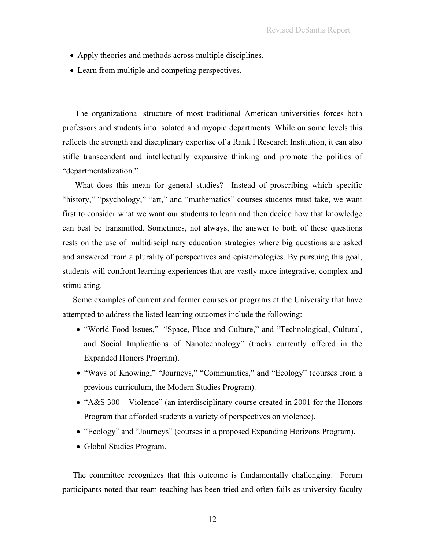- Apply theories and methods across multiple disciplines.
- Learn from multiple and competing perspectives.

The organizational structure of most traditional American universities forces both professors and students into isolated and myopic departments. While on some levels this reflects the strength and disciplinary expertise of a Rank I Research Institution, it can also stifle transcendent and intellectually expansive thinking and promote the politics of "departmentalization."

What does this mean for general studies? Instead of proscribing which specific "history," "psychology," "art," and "mathematics" courses students must take, we want first to consider what we want our students to learn and then decide how that knowledge can best be transmitted. Sometimes, not always, the answer to both of these questions rests on the use of multidisciplinary education strategies where big questions are asked and answered from a plurality of perspectives and epistemologies. By pursuing this goal, students will confront learning experiences that are vastly more integrative, complex and stimulating.

 Some examples of current and former courses or programs at the University that have attempted to address the listed learning outcomes include the following:

- "World Food Issues," "Space, Place and Culture," and "Technological, Cultural, and Social Implications of Nanotechnology" (tracks currently offered in the Expanded Honors Program).
- "Ways of Knowing," "Journeys," "Communities," and "Ecology" (courses from a previous curriculum, the Modern Studies Program).
- "A&S 300 Violence" (an interdisciplinary course created in 2001 for the Honors Program that afforded students a variety of perspectives on violence).
- "Ecology" and "Journeys" (courses in a proposed Expanding Horizons Program).
- Global Studies Program.

 The committee recognizes that this outcome is fundamentally challenging. Forum participants noted that team teaching has been tried and often fails as university faculty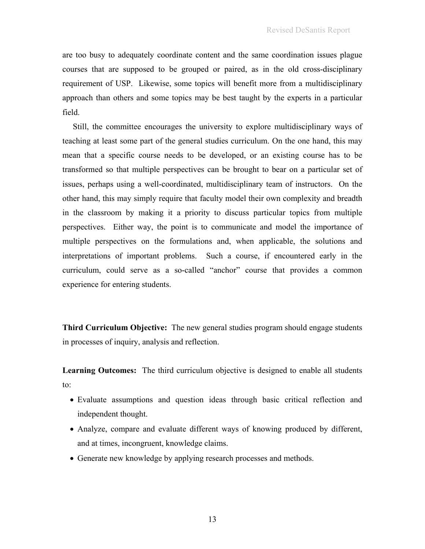are too busy to adequately coordinate content and the same coordination issues plague courses that are supposed to be grouped or paired, as in the old cross-disciplinary requirement of USP. Likewise, some topics will benefit more from a multidisciplinary approach than others and some topics may be best taught by the experts in a particular field.

 Still, the committee encourages the university to explore multidisciplinary ways of teaching at least some part of the general studies curriculum. On the one hand, this may mean that a specific course needs to be developed, or an existing course has to be transformed so that multiple perspectives can be brought to bear on a particular set of issues, perhaps using a well-coordinated, multidisciplinary team of instructors. On the other hand, this may simply require that faculty model their own complexity and breadth in the classroom by making it a priority to discuss particular topics from multiple perspectives. Either way, the point is to communicate and model the importance of multiple perspectives on the formulations and, when applicable, the solutions and interpretations of important problems. Such a course, if encountered early in the curriculum, could serve as a so-called "anchor" course that provides a common experience for entering students.

**Third Curriculum Objective:** The new general studies program should engage students in processes of inquiry, analysis and reflection.

Learning Outcomes: The third curriculum objective is designed to enable all students to:

- Evaluate assumptions and question ideas through basic critical reflection and independent thought.
- Analyze, compare and evaluate different ways of knowing produced by different, and at times, incongruent, knowledge claims.
- Generate new knowledge by applying research processes and methods.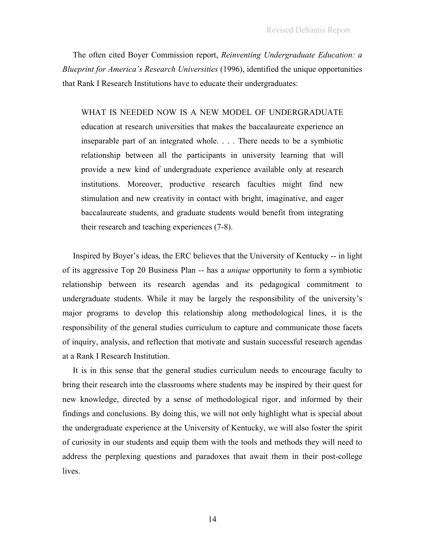The often cited Boyer Commission report, *Reinventing Undergraduate Education: a Blueprint for America's Research Universities* (1996), identified the unique opportunities that Rank I Research Institutions have to educate their undergraduates:

WHAT IS NEEDED NOW IS A NEW MODEL OF UNDERGRADUATE education at research universities that makes the baccalaureate experience an inseparable part of an integrated whole. . . . There needs to be a symbiotic relationship between all the participants in university learning that will provide a new kind of undergraduate experience available only at research institutions. Moreover, productive research faculties might find new stimulation and new creativity in contact with bright, imaginative, and eager baccalaureate students, and graduate students would benefit from integrating their research and teaching experiences (7-8).

 Inspired by Boyer's ideas, the ERC believes that the University of Kentucky -- in light of its aggressive Top 20 Business Plan -- has a *unique* opportunity to form a symbiotic relationship between its research agendas and its pedagogical commitment to undergraduate students. While it may be largely the responsibility of the university's major programs to develop this relationship along methodological lines, it is the responsibility of the general studies curriculum to capture and communicate those facets of inquiry, analysis, and reflection that motivate and sustain successful research agendas at a Rank I Research Institution.

 It is in this sense that the general studies curriculum needs to encourage faculty to bring their research into the classrooms where students may be inspired by their quest for new knowledge, directed by a sense of methodological rigor, and informed by their findings and conclusions. By doing this, we will not only highlight what is special about the undergraduate experience at the University of Kentucky, we will also foster the spirit of curiosity in our students and equip them with the tools and methods they will need to address the perplexing questions and paradoxes that await them in their post-college lives.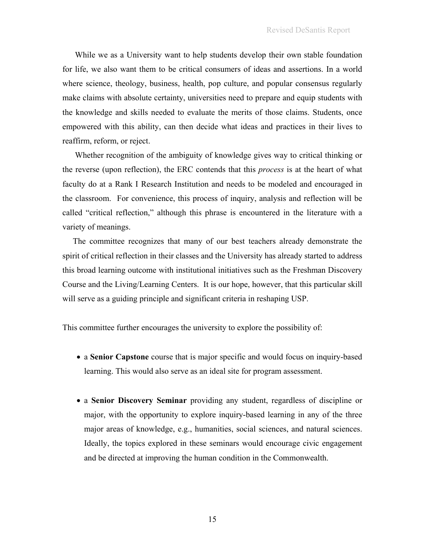While we as a University want to help students develop their own stable foundation for life, we also want them to be critical consumers of ideas and assertions. In a world where science, theology, business, health, pop culture, and popular consensus regularly make claims with absolute certainty, universities need to prepare and equip students with the knowledge and skills needed to evaluate the merits of those claims. Students, once empowered with this ability, can then decide what ideas and practices in their lives to reaffirm, reform, or reject.

Whether recognition of the ambiguity of knowledge gives way to critical thinking or the reverse (upon reflection), the ERC contends that this *process* is at the heart of what faculty do at a Rank I Research Institution and needs to be modeled and encouraged in the classroom. For convenience, this process of inquiry, analysis and reflection will be called "critical reflection," although this phrase is encountered in the literature with a variety of meanings.

 The committee recognizes that many of our best teachers already demonstrate the spirit of critical reflection in their classes and the University has already started to address this broad learning outcome with institutional initiatives such as the Freshman Discovery Course and the Living/Learning Centers. It is our hope, however, that this particular skill will serve as a guiding principle and significant criteria in reshaping USP.

This committee further encourages the university to explore the possibility of:

- a **Senior Capstone** course that is major specific and would focus on inquiry-based learning. This would also serve as an ideal site for program assessment.
- a **Senior Discovery Seminar** providing any student, regardless of discipline or major, with the opportunity to explore inquiry-based learning in any of the three major areas of knowledge, e.g., humanities, social sciences, and natural sciences. Ideally, the topics explored in these seminars would encourage civic engagement and be directed at improving the human condition in the Commonwealth.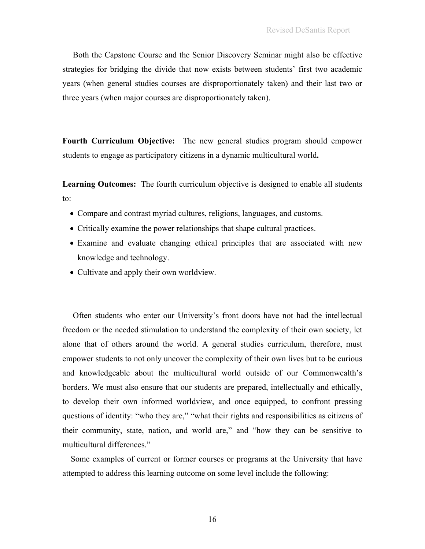Both the Capstone Course and the Senior Discovery Seminar might also be effective strategies for bridging the divide that now exists between students' first two academic years (when general studies courses are disproportionately taken) and their last two or three years (when major courses are disproportionately taken).

**Fourth Curriculum Objective:** The new general studies program should empower students to engage as participatory citizens in a dynamic multicultural world**.** 

Learning Outcomes: The fourth curriculum objective is designed to enable all students to:

- Compare and contrast myriad cultures, religions, languages, and customs.
- Critically examine the power relationships that shape cultural practices.
- Examine and evaluate changing ethical principles that are associated with new knowledge and technology.
- Cultivate and apply their own worldview.

 Often students who enter our University's front doors have not had the intellectual freedom or the needed stimulation to understand the complexity of their own society, let alone that of others around the world. A general studies curriculum, therefore, must empower students to not only uncover the complexity of their own lives but to be curious and knowledgeable about the multicultural world outside of our Commonwealth's borders. We must also ensure that our students are prepared, intellectually and ethically, to develop their own informed worldview, and once equipped, to confront pressing questions of identity: "who they are," "what their rights and responsibilities as citizens of their community, state, nation, and world are," and "how they can be sensitive to multicultural differences."

 Some examples of current or former courses or programs at the University that have attempted to address this learning outcome on some level include the following: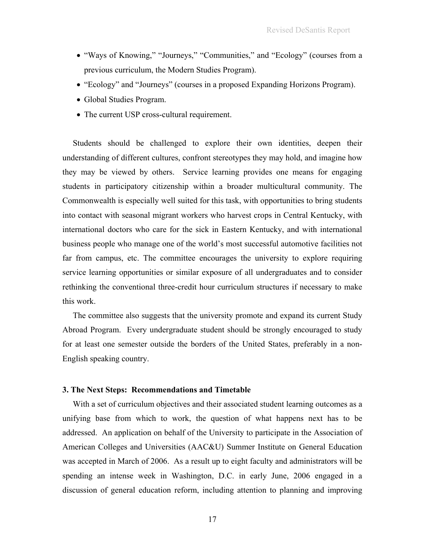- "Ways of Knowing," "Journeys," "Communities," and "Ecology" (courses from a previous curriculum, the Modern Studies Program).
- "Ecology" and "Journeys" (courses in a proposed Expanding Horizons Program).
- Global Studies Program.
- The current USP cross-cultural requirement.

 Students should be challenged to explore their own identities, deepen their understanding of different cultures, confront stereotypes they may hold, and imagine how they may be viewed by others. Service learning provides one means for engaging students in participatory citizenship within a broader multicultural community. The Commonwealth is especially well suited for this task, with opportunities to bring students into contact with seasonal migrant workers who harvest crops in Central Kentucky, with international doctors who care for the sick in Eastern Kentucky, and with international business people who manage one of the world's most successful automotive facilities not far from campus, etc. The committee encourages the university to explore requiring service learning opportunities or similar exposure of all undergraduates and to consider rethinking the conventional three-credit hour curriculum structures if necessary to make this work.

 The committee also suggests that the university promote and expand its current Study Abroad Program.Every undergraduate student should be strongly encouraged to study for at least one semester outside the borders of the United States, preferably in a non-English speaking country.

#### **3. The Next Steps: Recommendations and Timetable**

 With a set of curriculum objectives and their associated student learning outcomes as a unifying base from which to work, the question of what happens next has to be addressed. An application on behalf of the University to participate in the Association of American Colleges and Universities (AAC&U) Summer Institute on General Education was accepted in March of 2006. As a result up to eight faculty and administrators will be spending an intense week in Washington, D.C. in early June, 2006 engaged in a discussion of general education reform, including attention to planning and improving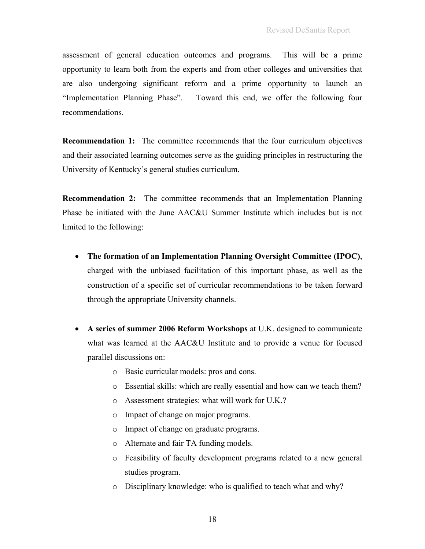assessment of general education outcomes and programs. This will be a prime opportunity to learn both from the experts and from other colleges and universities that are also undergoing significant reform and a prime opportunity to launch an "Implementation Planning Phase". Toward this end, we offer the following four recommendations.

**Recommendation 1:** The committee recommends that the four curriculum objectives and their associated learning outcomes serve as the guiding principles in restructuring the University of Kentucky's general studies curriculum.

**Recommendation 2:** The committee recommends that an Implementation Planning Phase be initiated with the June AAC&U Summer Institute which includes but is not limited to the following:

- **The formation of an Implementation Planning Oversight Committee (IPOC)**, charged with the unbiased facilitation of this important phase, as well as the construction of a specific set of curricular recommendations to be taken forward through the appropriate University channels.
- **A series of summer 2006 Reform Workshops** at U.K. designed to communicate what was learned at the AAC&U Institute and to provide a venue for focused parallel discussions on:
	- o Basic curricular models: pros and cons.
	- o Essential skills: which are really essential and how can we teach them?
	- o Assessment strategies: what will work for U.K.?
	- o Impact of change on major programs.
	- o Impact of change on graduate programs.
	- o Alternate and fair TA funding models.
	- o Feasibility of faculty development programs related to a new general studies program.
	- o Disciplinary knowledge: who is qualified to teach what and why?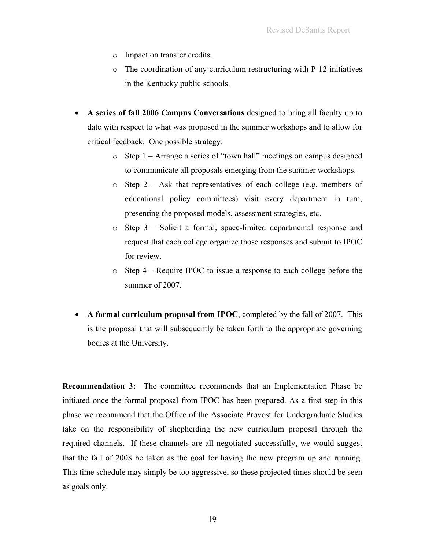- o Impact on transfer credits.
- o The coordination of any curriculum restructuring with P-12 initiatives in the Kentucky public schools.
- **A series of fall 2006 Campus Conversations** designed to bring all faculty up to date with respect to what was proposed in the summer workshops and to allow for critical feedback. One possible strategy:
	- o Step 1 Arrange a series of "town hall" meetings on campus designed to communicate all proposals emerging from the summer workshops.
	- o Step 2 Ask that representatives of each college (e.g. members of educational policy committees) visit every department in turn, presenting the proposed models, assessment strategies, etc.
	- o Step 3 Solicit a formal, space-limited departmental response and request that each college organize those responses and submit to IPOC for review.
	- o Step 4 Require IPOC to issue a response to each college before the summer of 2007.
- **A formal curriculum proposal from IPOC**, completed by the fall of 2007. This is the proposal that will subsequently be taken forth to the appropriate governing bodies at the University.

**Recommendation 3:** The committee recommends that an Implementation Phase be initiated once the formal proposal from IPOC has been prepared. As a first step in this phase we recommend that the Office of the Associate Provost for Undergraduate Studies take on the responsibility of shepherding the new curriculum proposal through the required channels. If these channels are all negotiated successfully, we would suggest that the fall of 2008 be taken as the goal for having the new program up and running. This time schedule may simply be too aggressive, so these projected times should be seen as goals only.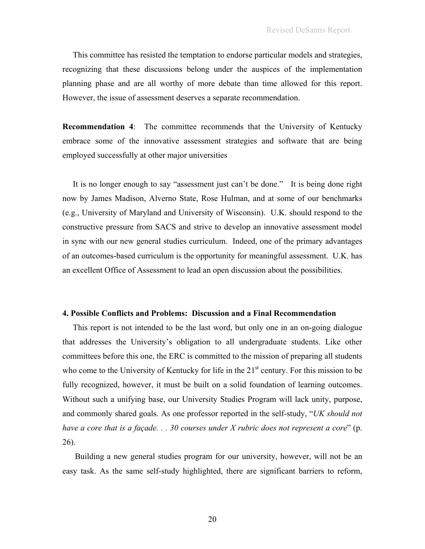This committee has resisted the temptation to endorse particular models and strategies, recognizing that these discussions belong under the auspices of the implementation planning phase and are all worthy of more debate than time allowed for this report. However, the issue of assessment deserves a separate recommendation.

**Recommendation 4**: The committee recommends that the University of Kentucky embrace some of the innovative assessment strategies and software that are being employed successfully at other major universities

 It is no longer enough to say "assessment just can't be done." It is being done right now by James Madison, Alverno State, Rose Hulman, and at some of our benchmarks (e.g., University of Maryland and University of Wisconsin). U.K. should respond to the constructive pressure from SACS and strive to develop an innovative assessment model in sync with our new general studies curriculum. Indeed, one of the primary advantages of an outcomes-based curriculum is the opportunity for meaningful assessment. U.K. has an excellent Office of Assessment to lead an open discussion about the possibilities.

#### **4. Possible Conflicts and Problems: Discussion and a Final Recommendation**

 This report is not intended to be the last word, but only one in an on-going dialogue that addresses the University's obligation to all undergraduate students. Like other committees before this one, the ERC is committed to the mission of preparing all students who come to the University of Kentucky for life in the  $21<sup>st</sup>$  century. For this mission to be fully recognized, however, it must be built on a solid foundation of learning outcomes. Without such a unifying base, our University Studies Program will lack unity, purpose, and commonly shared goals. As one professor reported in the self-study, "*UK should not have a core that is a façade. . . 30 courses under X rubric does not represent a core*" (p. 26).

 Building a new general studies program for our university, however, will not be an easy task. As the same self-study highlighted, there are significant barriers to reform,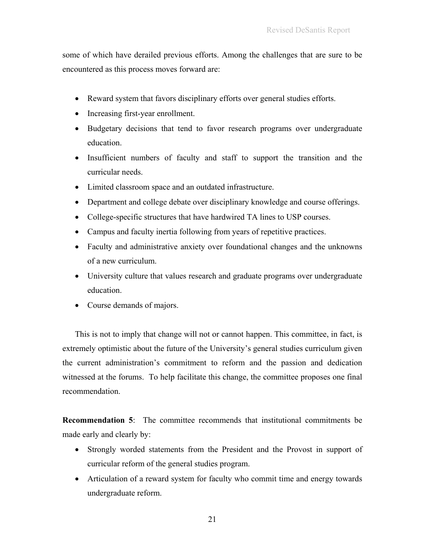some of which have derailed previous efforts. Among the challenges that are sure to be encountered as this process moves forward are:

- Reward system that favors disciplinary efforts over general studies efforts.
- Increasing first-year enrollment.
- Budgetary decisions that tend to favor research programs over undergraduate education.
- Insufficient numbers of faculty and staff to support the transition and the curricular needs.
- Limited classroom space and an outdated infrastructure.
- Department and college debate over disciplinary knowledge and course offerings.
- College-specific structures that have hardwired TA lines to USP courses.
- Campus and faculty inertia following from years of repetitive practices.
- Faculty and administrative anxiety over foundational changes and the unknowns of a new curriculum.
- University culture that values research and graduate programs over undergraduate education.
- Course demands of majors.

This is not to imply that change will not or cannot happen. This committee, in fact, is extremely optimistic about the future of the University's general studies curriculum given the current administration's commitment to reform and the passion and dedication witnessed at the forums. To help facilitate this change, the committee proposes one final recommendation.

**Recommendation 5**: The committee recommends that institutional commitments be made early and clearly by:

- Strongly worded statements from the President and the Provost in support of curricular reform of the general studies program.
- Articulation of a reward system for faculty who commit time and energy towards undergraduate reform.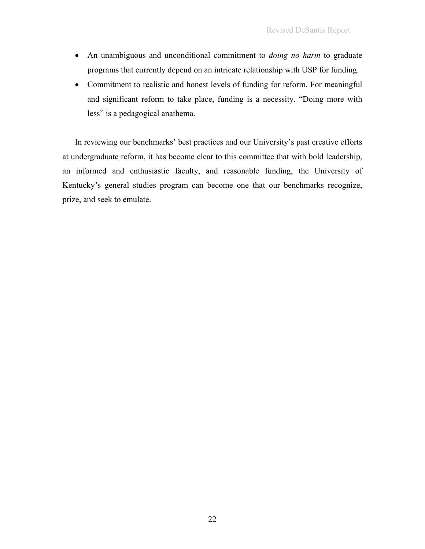- An unambiguous and unconditional commitment to *doing no harm* to graduate programs that currently depend on an intricate relationship with USP for funding.
- Commitment to realistic and honest levels of funding for reform. For meaningful and significant reform to take place, funding is a necessity. "Doing more with less" is a pedagogical anathema.

In reviewing our benchmarks' best practices and our University's past creative efforts at undergraduate reform, it has become clear to this committee that with bold leadership, an informed and enthusiastic faculty, and reasonable funding, the University of Kentucky's general studies program can become one that our benchmarks recognize, prize, and seek to emulate.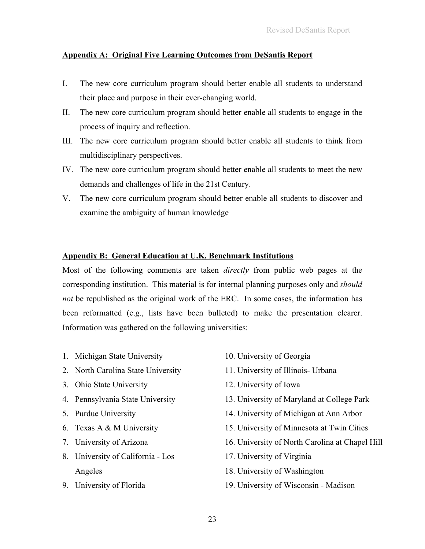# **Appendix A: Original Five Learning Outcomes from DeSantis Report**

- I. The new core curriculum program should better enable all students to understand their place and purpose in their ever-changing world.
- II. The new core curriculum program should better enable all students to engage in the process of inquiry and reflection.
- III. The new core curriculum program should better enable all students to think from multidisciplinary perspectives.
- IV. The new core curriculum program should better enable all students to meet the new demands and challenges of life in the 21st Century.
- V. The new core curriculum program should better enable all students to discover and examine the ambiguity of human knowledge

# **Appendix B: General Education at U.K. Benchmark Institutions**

Most of the following comments are taken *directly* from public web pages at the corresponding institution. This material is for internal planning purposes only and *should not* be republished as the original work of the ERC. In some cases, the information has been reformatted (e.g., lists have been bulleted) to make the presentation clearer. Information was gathered on the following universities:

- 1. Michigan State University
- 2. North Carolina State University
- 3. Ohio State University
- 4. Pennsylvania State University
- 5. Purdue University
- 6. Texas A & M University
- 7. University of Arizona
- 8. University of California Los Angeles
- 9. University of Florida
- 10. University of Georgia
- 11. University of Illinois- Urbana
- 12. University of Iowa
- 13. University of Maryland at College Park
- 14. University of Michigan at Ann Arbor
- 15. University of Minnesota at Twin Cities
- 16. University of North Carolina at Chapel Hill
- 17. University of Virginia
- 18. University of Washington
- 19. University of Wisconsin Madison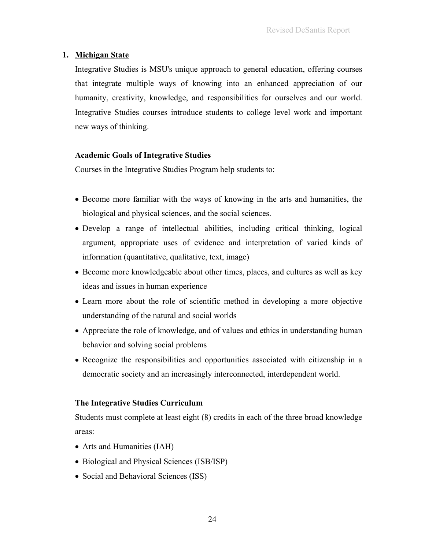# **1. Michigan State**

Integrative Studies is MSU's unique approach to general education, offering courses that integrate multiple ways of knowing into an enhanced appreciation of our humanity, creativity, knowledge, and responsibilities for ourselves and our world. Integrative Studies courses introduce students to college level work and important new ways of thinking.

# **Academic Goals of Integrative Studies**

Courses in the Integrative Studies Program help students to:

- Become more familiar with the ways of knowing in the arts and humanities, the biological and physical sciences, and the social sciences.
- Develop a range of intellectual abilities, including critical thinking, logical argument, appropriate uses of evidence and interpretation of varied kinds of information (quantitative, qualitative, text, image)
- Become more knowledgeable about other times, places, and cultures as well as key ideas and issues in human experience
- Learn more about the role of scientific method in developing a more objective understanding of the natural and social worlds
- Appreciate the role of knowledge, and of values and ethics in understanding human behavior and solving social problems
- Recognize the responsibilities and opportunities associated with citizenship in a democratic society and an increasingly interconnected, interdependent world.

## **The Integrative Studies Curriculum**

Students must complete at least eight (8) credits in each of the three broad knowledge areas:

- Arts and Humanities (IAH)
- Biological and Physical Sciences (ISB/ISP)
- Social and Behavioral Sciences (ISS)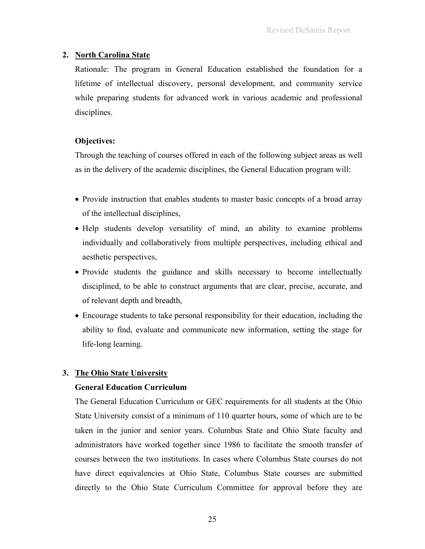# **2. North Carolina State**

Rationale: The program in General Education established the foundation for a lifetime of intellectual discovery, personal development, and community service while preparing students for advanced work in various academic and professional disciplines.

# **Objectives:**

Through the teaching of courses offered in each of the following subject areas as well as in the delivery of the academic disciplines, the General Education program will:

- Provide instruction that enables students to master basic concepts of a broad array of the intellectual disciplines,
- Help students develop versatility of mind, an ability to examine problems individually and collaboratively from multiple perspectives, including ethical and aesthetic perspectives,
- Provide students the guidance and skills necessary to become intellectually disciplined, to be able to construct arguments that are clear, precise, accurate, and of relevant depth and breadth,
- Encourage students to take personal responsibility for their education, including the ability to find, evaluate and communicate new information, setting the stage for life-long learning.

# **3. The Ohio State University**

# **General Education Curriculum**

The General Education Curriculum or GEC requirements for all students at the Ohio State University consist of a minimum of 110 quarter hours, some of which are to be taken in the junior and senior years. Columbus State and Ohio State faculty and administrators have worked together since 1986 to facilitate the smooth transfer of courses between the two institutions. In cases where Columbus State courses do not have direct equivalencies at Ohio State, Columbus State courses are submitted directly to the Ohio State Curriculum Committee for approval before they are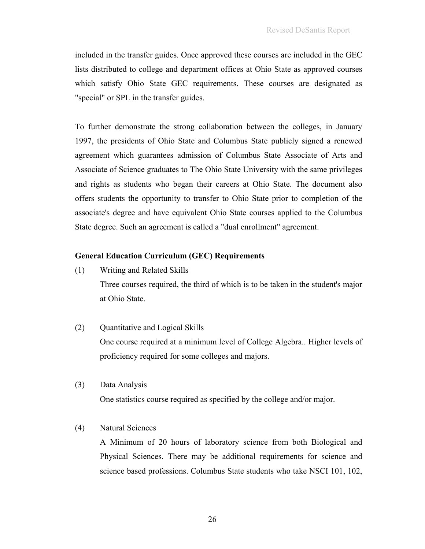included in the transfer guides. Once approved these courses are included in the GEC lists distributed to college and department offices at Ohio State as approved courses which satisfy Ohio State GEC requirements. These courses are designated as "special" or SPL in the transfer guides.

To further demonstrate the strong collaboration between the colleges, in January 1997, the presidents of Ohio State and Columbus State publicly signed a renewed agreement which guarantees admission of Columbus State Associate of Arts and Associate of Science graduates to The Ohio State University with the same privileges and rights as students who began their careers at Ohio State. The document also offers students the opportunity to transfer to Ohio State prior to completion of the associate's degree and have equivalent Ohio State courses applied to the Columbus State degree. Such an agreement is called a "dual enrollment" agreement.

## **General Education Curriculum (GEC) Requirements**

- (1) Writing and Related Skills Three courses required, the third of which is to be taken in the student's major at Ohio State.
- (2) Quantitative and Logical Skills One course required at a minimum level of College Algebra.. Higher levels of proficiency required for some colleges and majors.
- (3) Data Analysis One statistics course required as specified by the college and/or major.

# (4) Natural Sciences

A Minimum of 20 hours of laboratory science from both Biological and Physical Sciences. There may be additional requirements for science and science based professions. Columbus State students who take NSCI 101, 102,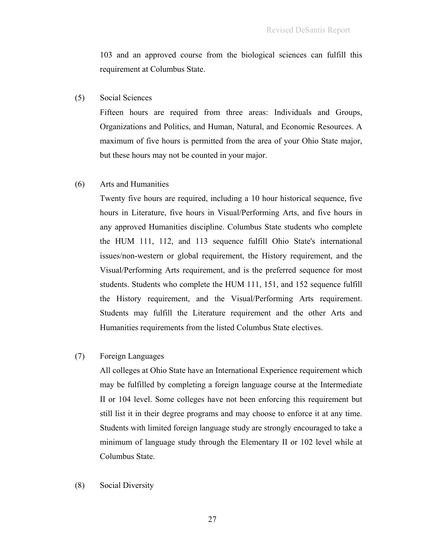103 and an approved course from the biological sciences can fulfill this requirement at Columbus State.

### (5) Social Sciences

Fifteen hours are required from three areas: Individuals and Groups, Organizations and Politics, and Human, Natural, and Economic Resources. A maximum of five hours is permitted from the area of your Ohio State major, but these hours may not be counted in your major.

### (6) Arts and Humanities

Twenty five hours are required, including a 10 hour historical sequence, five hours in Literature, five hours in Visual/Performing Arts, and five hours in any approved Humanities discipline. Columbus State students who complete the HUM 111, 112, and 113 sequence fulfill Ohio State's international issues/non-western or global requirement, the History requirement, and the Visual/Performing Arts requirement, and is the preferred sequence for most students. Students who complete the HUM 111, 151, and 152 sequence fulfill the History requirement, and the Visual/Performing Arts requirement. Students may fulfill the Literature requirement and the other Arts and Humanities requirements from the listed Columbus State electives.

### (7) Foreign Languages

All colleges at Ohio State have an International Experience requirement which may be fulfilled by completing a foreign language course at the Intermediate II or 104 level. Some colleges have not been enforcing this requirement but still list it in their degree programs and may choose to enforce it at any time. Students with limited foreign language study are strongly encouraged to take a minimum of language study through the Elementary II or 102 level while at Columbus State.

#### (8) Social Diversity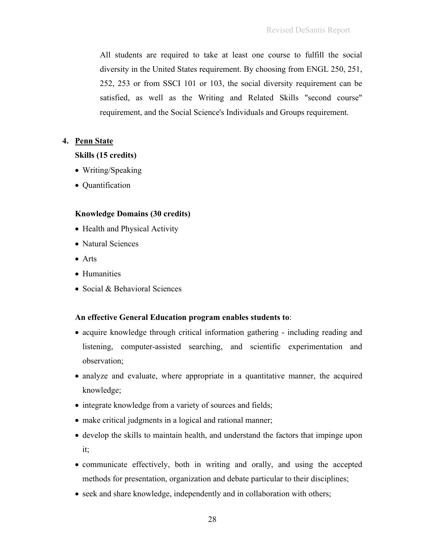All students are required to take at least one course to fulfill the social diversity in the United States requirement. By choosing from ENGL 250, 251, 252, 253 or from SSCI 101 or 103, the social diversity requirement can be satisfied, as well as the Writing and Related Skills "second course" requirement, and the Social Science's Individuals and Groups requirement.

# **4. Penn State**

# **Skills (15 credits)**

- Writing/Speaking
- Quantification

# **Knowledge Domains (30 credits)**

- Health and Physical Activity
- Natural Sciences
- Arts
- Humanities
- Social & Behavioral Sciences

# **An effective General Education program enables students to**:

- acquire knowledge through critical information gathering including reading and listening, computer-assisted searching, and scientific experimentation and observation;
- analyze and evaluate, where appropriate in a quantitative manner, the acquired knowledge;
- integrate knowledge from a variety of sources and fields;
- make critical judgments in a logical and rational manner;
- develop the skills to maintain health, and understand the factors that impinge upon it;
- communicate effectively, both in writing and orally, and using the accepted methods for presentation, organization and debate particular to their disciplines;
- seek and share knowledge, independently and in collaboration with others;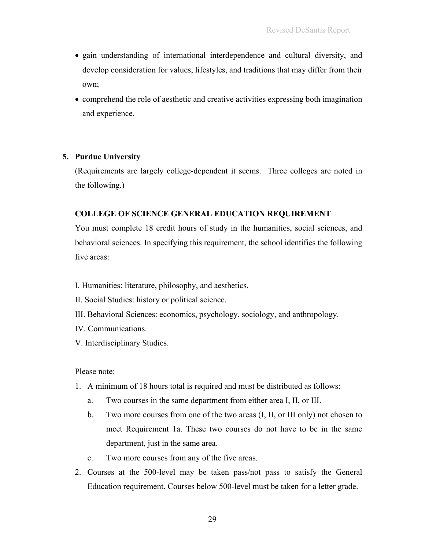- gain understanding of international interdependence and cultural diversity, and develop consideration for values, lifestyles, and traditions that may differ from their own;
- comprehend the role of aesthetic and creative activities expressing both imagination and experience.

# **5. Purdue University**

(Requirements are largely college-dependent it seems. Three colleges are noted in the following.)

# **COLLEGE OF SCIENCE GENERAL EDUCATION REQUIREMENT**

You must complete 18 credit hours of study in the humanities, social sciences, and behavioral sciences. In specifying this requirement, the school identifies the following five areas:

- I. Humanities: literature, philosophy, and aesthetics.
- II. Social Studies: history or political science.
- III. Behavioral Sciences: economics, psychology, sociology, and anthropology.
- IV. Communications.
- V. Interdisciplinary Studies.

Please note:

- 1. A minimum of 18 hours total is required and must be distributed as follows:
	- a. Two courses in the same department from either area I, II, or III.
	- b. Two more courses from one of the two areas (I, II, or III only) not chosen to meet Requirement 1a. These two courses do not have to be in the same department, just in the same area.
	- c. Two more courses from any of the five areas.
- 2. Courses at the 500-level may be taken pass/not pass to satisfy the General Education requirement. Courses below 500-level must be taken for a letter grade.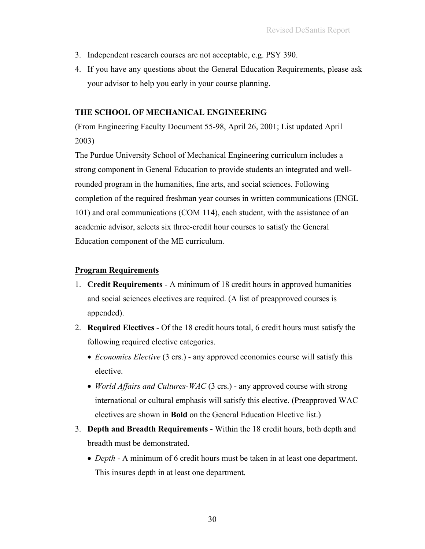- 3. Independent research courses are not acceptable, e.g. PSY 390.
- 4. If you have any questions about the General Education Requirements, please ask your advisor to help you early in your course planning.

# **THE SCHOOL OF MECHANICAL ENGINEERING**

(From Engineering Faculty Document 55-98, April 26, 2001; List updated April 2003)

The Purdue University School of Mechanical Engineering curriculum includes a strong component in General Education to provide students an integrated and wellrounded program in the humanities, fine arts, and social sciences. Following completion of the required freshman year courses in written communications (ENGL 101) and oral communications (COM 114), each student, with the assistance of an academic advisor, selects six three-credit hour courses to satisfy the General Education component of the ME curriculum.

# **Program Requirements**

- 1. **Credit Requirements** A minimum of 18 credit hours in approved humanities and social sciences electives are required. (A list of preapproved courses is appended).
- 2. **Required Electives** Of the 18 credit hours total, 6 credit hours must satisfy the following required elective categories.
	- *Economics Elective* (3 crs.) any approved economics course will satisfy this elective.
	- *World Affairs and Cultures-WAC* (3 crs.) any approved course with strong international or cultural emphasis will satisfy this elective. (Preapproved WAC electives are shown in **Bold** on the General Education Elective list.)
- 3. **Depth and Breadth Requirements** Within the 18 credit hours, both depth and breadth must be demonstrated.
	- *Depth*  A minimum of 6 credit hours must be taken in at least one department. This insures depth in at least one department.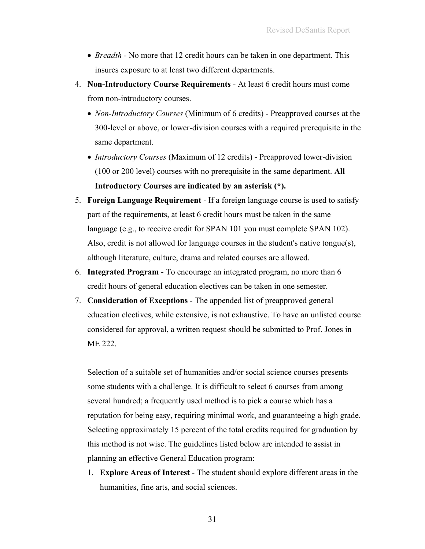- *Breadth* No more that 12 credit hours can be taken in one department. This insures exposure to at least two different departments.
- 4. **Non-Introductory Course Requirements** At least 6 credit hours must come from non-introductory courses.
	- *Non-Introductory Courses* (Minimum of 6 credits) Preapproved courses at the 300-level or above, or lower-division courses with a required prerequisite in the same department.
	- *Introductory Courses* (Maximum of 12 credits) Preapproved lower-division (100 or 200 level) courses with no prerequisite in the same department. **All Introductory Courses are indicated by an asterisk (\*).**
- 5. **Foreign Language Requirement** If a foreign language course is used to satisfy part of the requirements, at least 6 credit hours must be taken in the same language (e.g., to receive credit for SPAN 101 you must complete SPAN 102). Also, credit is not allowed for language courses in the student's native tongue(s), although literature, culture, drama and related courses are allowed.
- 6. **Integrated Program** To encourage an integrated program, no more than 6 credit hours of general education electives can be taken in one semester.
- 7. **Consideration of Exceptions** The appended list of preapproved general education electives, while extensive, is not exhaustive. To have an unlisted course considered for approval, a written request should be submitted to Prof. Jones in ME 222.

Selection of a suitable set of humanities and/or social science courses presents some students with a challenge. It is difficult to select 6 courses from among several hundred; a frequently used method is to pick a course which has a reputation for being easy, requiring minimal work, and guaranteeing a high grade. Selecting approximately 15 percent of the total credits required for graduation by this method is not wise. The guidelines listed below are intended to assist in planning an effective General Education program:

1. **Explore Areas of Interest** - The student should explore different areas in the humanities, fine arts, and social sciences.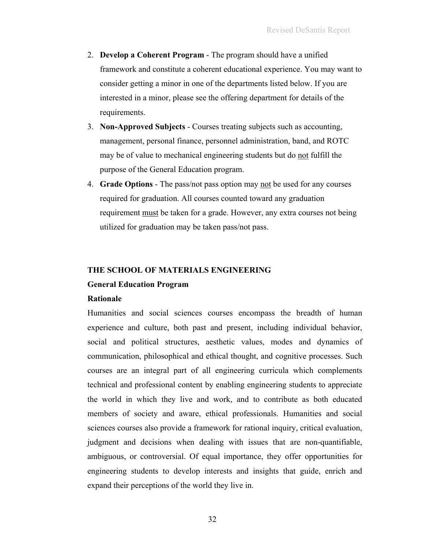- 2. **Develop a Coherent Program** The program should have a unified framework and constitute a coherent educational experience. You may want to consider getting a minor in one of the departments listed below. If you are interested in a minor, please see the offering department for details of the requirements.
- 3. **Non-Approved Subjects** Courses treating subjects such as accounting, management, personal finance, personnel administration, band, and ROTC may be of value to mechanical engineering students but do not fulfill the purpose of the General Education program.
- 4. **Grade Options** The pass/not pass option may not be used for any courses required for graduation. All courses counted toward any graduation requirement must be taken for a grade. However, any extra courses not being utilized for graduation may be taken pass/not pass.

#### **THE SCHOOL OF MATERIALS ENGINEERING**

#### **General Education Program**

#### **Rationale**

Humanities and social sciences courses encompass the breadth of human experience and culture, both past and present, including individual behavior, social and political structures, aesthetic values, modes and dynamics of communication, philosophical and ethical thought, and cognitive processes. Such courses are an integral part of all engineering curricula which complements technical and professional content by enabling engineering students to appreciate the world in which they live and work, and to contribute as both educated members of society and aware, ethical professionals. Humanities and social sciences courses also provide a framework for rational inquiry, critical evaluation, judgment and decisions when dealing with issues that are non-quantifiable, ambiguous, or controversial. Of equal importance, they offer opportunities for engineering students to develop interests and insights that guide, enrich and expand their perceptions of the world they live in.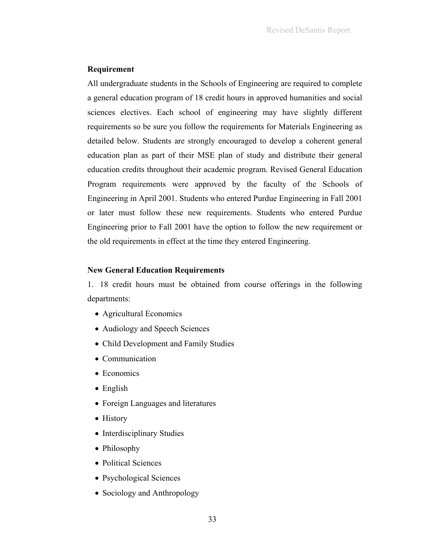## **Requirement**

All undergraduate students in the Schools of Engineering are required to complete a general education program of 18 credit hours in approved humanities and social sciences electives. Each school of engineering may have slightly different requirements so be sure you follow the requirements for Materials Engineering as detailed below. Students are strongly encouraged to develop a coherent general education plan as part of their MSE plan of study and distribute their general education credits throughout their academic program. Revised General Education Program requirements were approved by the faculty of the Schools of Engineering in April 2001. Students who entered Purdue Engineering in Fall 2001 or later must follow these new requirements. Students who entered Purdue Engineering prior to Fall 2001 have the option to follow the new requirement or the old requirements in effect at the time they entered Engineering.

# **New General Education Requirements**

1. 18 credit hours must be obtained from course offerings in the following departments:

- Agricultural Economics
- Audiology and Speech Sciences
- Child Development and Family Studies
- Communication
- Economics
- English
- Foreign Languages and literatures
- History
- Interdisciplinary Studies
- Philosophy
- Political Sciences
- Psychological Sciences
- Sociology and Anthropology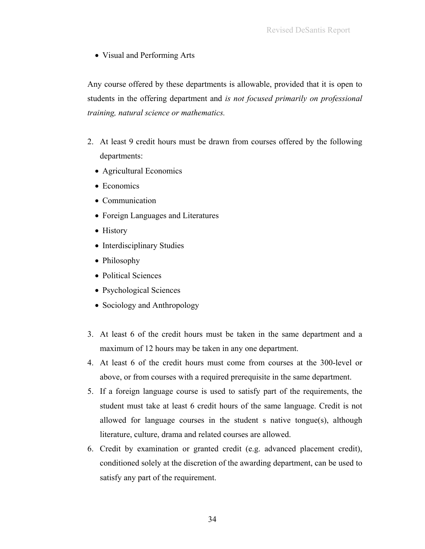• Visual and Performing Arts

Any course offered by these departments is allowable, provided that it is open to students in the offering department and *is not focused primarily on professional training, natural science or mathematics.* 

- 2. At least 9 credit hours must be drawn from courses offered by the following departments:
	- Agricultural Economics
	- Economics
	- Communication
	- Foreign Languages and Literatures
	- History
	- Interdisciplinary Studies
	- Philosophy
	- Political Sciences
	- Psychological Sciences
	- Sociology and Anthropology
- 3. At least 6 of the credit hours must be taken in the same department and a maximum of 12 hours may be taken in any one department.
- 4. At least 6 of the credit hours must come from courses at the 300-level or above, or from courses with a required prerequisite in the same department.
- 5. If a foreign language course is used to satisfy part of the requirements, the student must take at least 6 credit hours of the same language. Credit is not allowed for language courses in the student s native tongue(s), although literature, culture, drama and related courses are allowed.
- 6. Credit by examination or granted credit (e.g. advanced placement credit), conditioned solely at the discretion of the awarding department, can be used to satisfy any part of the requirement.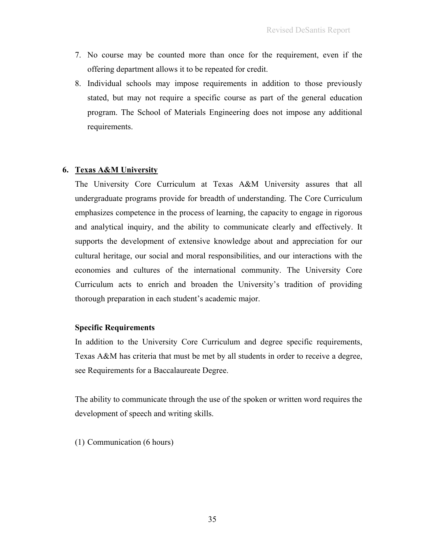- 7. No course may be counted more than once for the requirement, even if the offering department allows it to be repeated for credit.
- 8. Individual schools may impose requirements in addition to those previously stated, but may not require a specific course as part of the general education program. The School of Materials Engineering does not impose any additional requirements.

# **6. Texas A&M University**

The University Core Curriculum at Texas A&M University assures that all undergraduate programs provide for breadth of understanding. The Core Curriculum emphasizes competence in the process of learning, the capacity to engage in rigorous and analytical inquiry, and the ability to communicate clearly and effectively. It supports the development of extensive knowledge about and appreciation for our cultural heritage, our social and moral responsibilities, and our interactions with the economies and cultures of the international community. The University Core Curriculum acts to enrich and broaden the University's tradition of providing thorough preparation in each student's academic major.

# **Specific Requirements**

In addition to the University Core Curriculum and degree specific requirements, Texas A&M has criteria that must be met by all students in order to receive a degree, see Requirements for a Baccalaureate Degree.

The ability to communicate through the use of the spoken or written word requires the development of speech and writing skills.

(1) Communication (6 hours)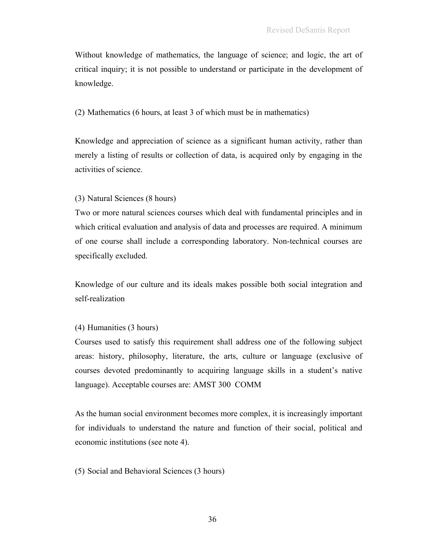Without knowledge of mathematics, the language of science; and logic, the art of critical inquiry; it is not possible to understand or participate in the development of knowledge.

(2) Mathematics (6 hours, at least 3 of which must be in mathematics)

Knowledge and appreciation of science as a significant human activity, rather than merely a listing of results or collection of data, is acquired only by engaging in the activities of science.

# (3) Natural Sciences (8 hours)

Two or more natural sciences courses which deal with fundamental principles and in which critical evaluation and analysis of data and processes are required. A minimum of one course shall include a corresponding laboratory. Non-technical courses are specifically excluded.

Knowledge of our culture and its ideals makes possible both social integration and self-realization

# (4) Humanities (3 hours)

Courses used to satisfy this requirement shall address one of the following subject areas: history, philosophy, literature, the arts, culture or language (exclusive of courses devoted predominantly to acquiring language skills in a student's native language). Acceptable courses are: AMST 300 COMM

As the human social environment becomes more complex, it is increasingly important for individuals to understand the nature and function of their social, political and economic institutions (see note 4).

(5) Social and Behavioral Sciences (3 hours)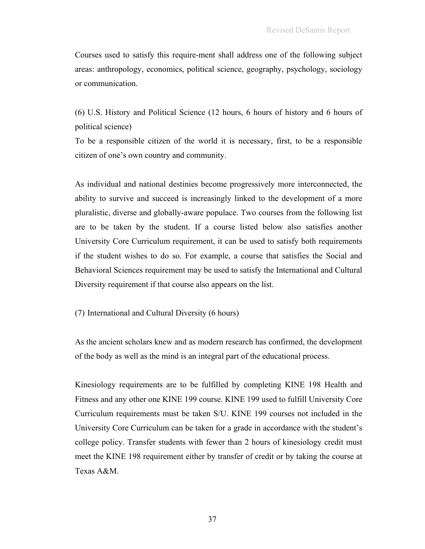Courses used to satisfy this require-ment shall address one of the following subject areas: anthropology, economics, political science, geography, psychology, sociology or communication.

(6) U.S. History and Political Science (12 hours, 6 hours of history and 6 hours of political science)

To be a responsible citizen of the world it is necessary, first, to be a responsible citizen of one's own country and community.

As individual and national destinies become progressively more interconnected, the ability to survive and succeed is increasingly linked to the development of a more pluralistic, diverse and globally-aware populace. Two courses from the following list are to be taken by the student. If a course listed below also satisfies another University Core Curriculum requirement, it can be used to satisfy both requirements if the student wishes to do so. For example, a course that satisfies the Social and Behavioral Sciences requirement may be used to satisfy the International and Cultural Diversity requirement if that course also appears on the list.

(7) International and Cultural Diversity (6 hours)

As the ancient scholars knew and as modern research has confirmed, the development of the body as well as the mind is an integral part of the educational process.

Kinesiology requirements are to be fulfilled by completing KINE 198 Health and Fitness and any other one KINE 199 course. KINE 199 used to fulfill University Core Curriculum requirements must be taken S/U. KINE 199 courses not included in the University Core Curriculum can be taken for a grade in accordance with the student's college policy. Transfer students with fewer than 2 hours of kinesiology credit must meet the KINE 198 requirement either by transfer of credit or by taking the course at Texas A&M.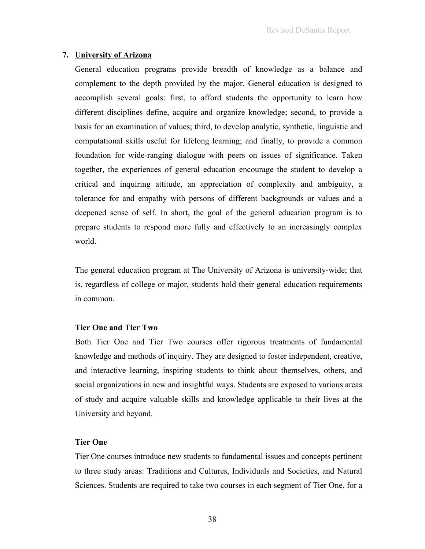# **7. University of Arizona**

General education programs provide breadth of knowledge as a balance and complement to the depth provided by the major. General education is designed to accomplish several goals: first, to afford students the opportunity to learn how different disciplines define, acquire and organize knowledge; second, to provide a basis for an examination of values; third, to develop analytic, synthetic, linguistic and computational skills useful for lifelong learning; and finally, to provide a common foundation for wide-ranging dialogue with peers on issues of significance. Taken together, the experiences of general education encourage the student to develop a critical and inquiring attitude, an appreciation of complexity and ambiguity, a tolerance for and empathy with persons of different backgrounds or values and a deepened sense of self. In short, the goal of the general education program is to prepare students to respond more fully and effectively to an increasingly complex world.

The general education program at The University of Arizona is university-wide; that is, regardless of college or major, students hold their general education requirements in common.

## **Tier One and Tier Two**

Both Tier One and Tier Two courses offer rigorous treatments of fundamental knowledge and methods of inquiry. They are designed to foster independent, creative, and interactive learning, inspiring students to think about themselves, others, and social organizations in new and insightful ways. Students are exposed to various areas of study and acquire valuable skills and knowledge applicable to their lives at the University and beyond.

# **Tier One**

Tier One courses introduce new students to fundamental issues and concepts pertinent to three study areas: Traditions and Cultures, Individuals and Societies, and Natural Sciences. Students are required to take two courses in each segment of Tier One, for a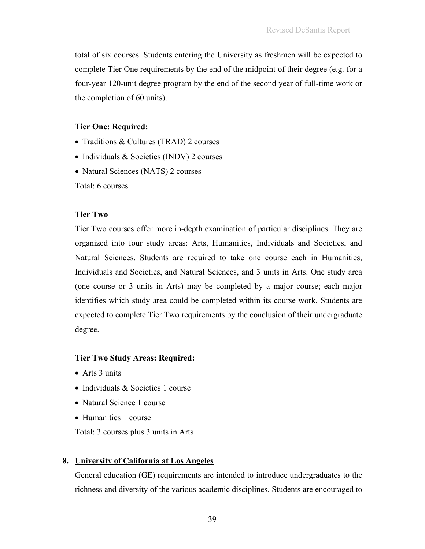total of six courses. Students entering the University as freshmen will be expected to complete Tier One requirements by the end of the midpoint of their degree (e.g. for a four-year 120-unit degree program by the end of the second year of full-time work or the completion of 60 units).

# **Tier One: Required:**

- Traditions & Cultures (TRAD) 2 courses
- Individuals & Societies (INDV) 2 courses
- Natural Sciences (NATS) 2 courses

Total: 6 courses

### **Tier Two**

Tier Two courses offer more in-depth examination of particular disciplines. They are organized into four study areas: Arts, Humanities, Individuals and Societies, and Natural Sciences. Students are required to take one course each in Humanities, Individuals and Societies, and Natural Sciences, and 3 units in Arts. One study area (one course or 3 units in Arts) may be completed by a major course; each major identifies which study area could be completed within its course work. Students are expected to complete Tier Two requirements by the conclusion of their undergraduate degree.

## **Tier Two Study Areas: Required:**

- Arts 3 units
- Individuals & Societies 1 course
- Natural Science 1 course
- Humanities 1 course

Total: 3 courses plus 3 units in Arts

## **8. University of California at Los Angeles**

General education (GE) requirements are intended to introduce undergraduates to the richness and diversity of the various academic disciplines. Students are encouraged to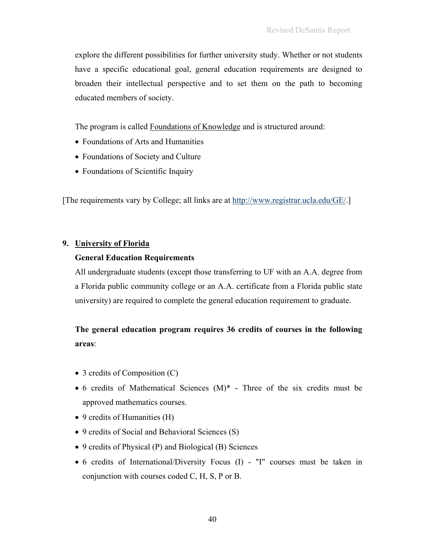explore the different possibilities for further university study. Whether or not students have a specific educational goal, general education requirements are designed to broaden their intellectual perspective and to set them on the path to becoming educated members of society.

The program is called Foundations of Knowledge and is structured around:

- Foundations of Arts and Humanities
- Foundations of Society and Culture
- Foundations of Scientific Inquiry

[The requirements vary by College; all links are at http://www.registrar.ucla.edu/GE/.]

## **9. University of Florida**

## **General Education Requirements**

All undergraduate students (except those transferring to UF with an A.A. degree from a Florida public community college or an A.A. certificate from a Florida public state university) are required to complete the general education requirement to graduate.

# **The general education program requires 36 credits of courses in the following areas**:

- 3 credits of Composition (C)
- 6 credits of Mathematical Sciences  $(M)^*$  Three of the six credits must be approved mathematics courses.
- 9 credits of Humanities (H)
- 9 credits of Social and Behavioral Sciences (S)
- 9 credits of Physical (P) and Biological (B) Sciences
- 6 credits of International/Diversity Focus (I) "I" courses must be taken in conjunction with courses coded C, H, S, P or B.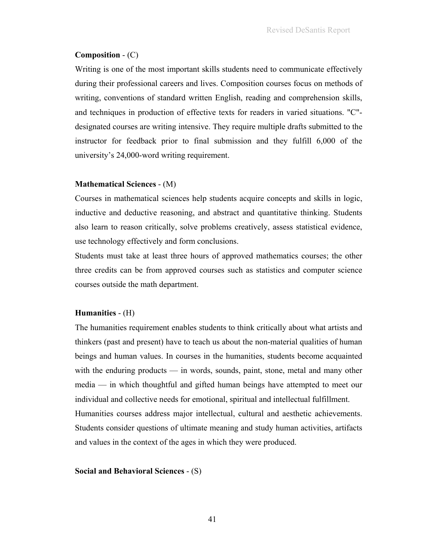# **Composition** - (C)

Writing is one of the most important skills students need to communicate effectively during their professional careers and lives. Composition courses focus on methods of writing, conventions of standard written English, reading and comprehension skills, and techniques in production of effective texts for readers in varied situations. "C" designated courses are writing intensive. They require multiple drafts submitted to the instructor for feedback prior to final submission and they fulfill 6,000 of the university's 24,000-word writing requirement.

# **Mathematical Sciences** - (M)

Courses in mathematical sciences help students acquire concepts and skills in logic, inductive and deductive reasoning, and abstract and quantitative thinking. Students also learn to reason critically, solve problems creatively, assess statistical evidence, use technology effectively and form conclusions.

Students must take at least three hours of approved mathematics courses; the other three credits can be from approved courses such as statistics and computer science courses outside the math department.

# **Humanities** - (H)

The humanities requirement enables students to think critically about what artists and thinkers (past and present) have to teach us about the non-material qualities of human beings and human values. In courses in the humanities, students become acquainted with the enduring products — in words, sounds, paint, stone, metal and many other media — in which thoughtful and gifted human beings have attempted to meet our individual and collective needs for emotional, spiritual and intellectual fulfillment. Humanities courses address major intellectual, cultural and aesthetic achievements. Students consider questions of ultimate meaning and study human activities, artifacts and values in the context of the ages in which they were produced.

## **Social and Behavioral Sciences** - (S)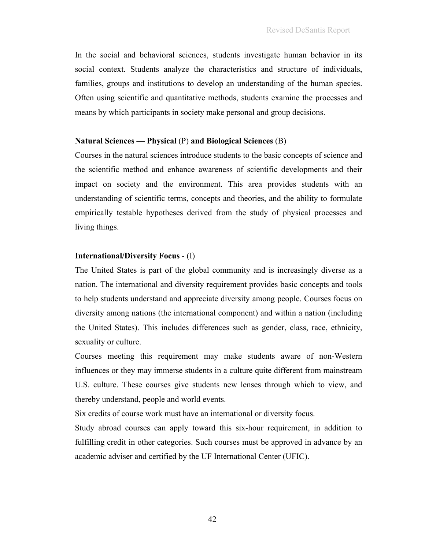In the social and behavioral sciences, students investigate human behavior in its social context. Students analyze the characteristics and structure of individuals, families, groups and institutions to develop an understanding of the human species. Often using scientific and quantitative methods, students examine the processes and means by which participants in society make personal and group decisions.

## **Natural Sciences — Physical** (P) **and Biological Sciences** (B)

Courses in the natural sciences introduce students to the basic concepts of science and the scientific method and enhance awareness of scientific developments and their impact on society and the environment. This area provides students with an understanding of scientific terms, concepts and theories, and the ability to formulate empirically testable hypotheses derived from the study of physical processes and living things.

## **International/Diversity Focus** - (I)

The United States is part of the global community and is increasingly diverse as a nation. The international and diversity requirement provides basic concepts and tools to help students understand and appreciate diversity among people. Courses focus on diversity among nations (the international component) and within a nation (including the United States). This includes differences such as gender, class, race, ethnicity, sexuality or culture.

Courses meeting this requirement may make students aware of non-Western influences or they may immerse students in a culture quite different from mainstream U.S. culture. These courses give students new lenses through which to view, and thereby understand, people and world events.

Six credits of course work must have an international or diversity focus.

Study abroad courses can apply toward this six-hour requirement, in addition to fulfilling credit in other categories. Such courses must be approved in advance by an academic adviser and certified by the UF International Center (UFIC).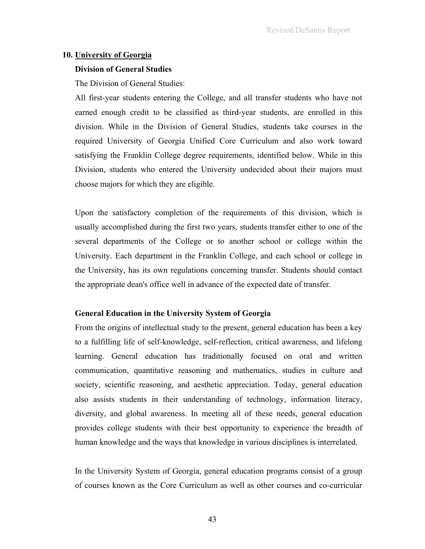#### **10. University of Georgia**

#### **Division of General Studies**

The Division of General Studies:

All first-year students entering the College, and all transfer students who have not earned enough credit to be classified as third-year students, are enrolled in this division. While in the Division of General Studies, students take courses in the required University of Georgia Unified Core Curriculum and also work toward satisfying the Franklin College degree requirements, identified below. While in this Division, students who entered the University undecided about their majors must choose majors for which they are eligible.

Upon the satisfactory completion of the requirements of this division, which is usually accomplished during the first two years, students transfer either to one of the several departments of the College or to another school or college within the University. Each department in the Franklin College, and each school or college in the University, has its own regulations concerning transfer. Students should contact the appropriate dean's office well in advance of the expected date of transfer.

#### **General Education in the University System of Georgia**

From the origins of intellectual study to the present, general education has been a key to a fulfilling life of self-knowledge, self-reflection, critical awareness, and lifelong learning. General education has traditionally focused on oral and written communication, quantitative reasoning and mathematics, studies in culture and society, scientific reasoning, and aesthetic appreciation. Today, general education also assists students in their understanding of technology, information literacy, diversity, and global awareness. In meeting all of these needs, general education provides college students with their best opportunity to experience the breadth of human knowledge and the ways that knowledge in various disciplines is interrelated.

In the University System of Georgia, general education programs consist of a group of courses known as the Core Curriculum as well as other courses and co-curricular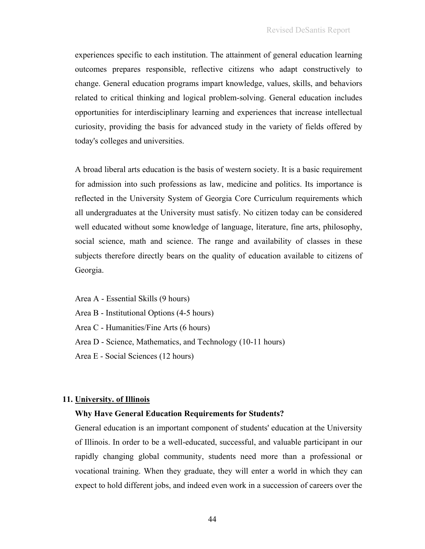experiences specific to each institution. The attainment of general education learning outcomes prepares responsible, reflective citizens who adapt constructively to change. General education programs impart knowledge, values, skills, and behaviors related to critical thinking and logical problem-solving. General education includes opportunities for interdisciplinary learning and experiences that increase intellectual curiosity, providing the basis for advanced study in the variety of fields offered by today's colleges and universities.

A broad liberal arts education is the basis of western society. It is a basic requirement for admission into such professions as law, medicine and politics. Its importance is reflected in the University System of Georgia Core Curriculum requirements which all undergraduates at the University must satisfy. No citizen today can be considered well educated without some knowledge of language, literature, fine arts, philosophy, social science, math and science. The range and availability of classes in these subjects therefore directly bears on the quality of education available to citizens of Georgia.

Area A - Essential Skills (9 hours)

Area B - Institutional Options (4-5 hours)

Area C - Humanities/Fine Arts (6 hours)

Area D - Science, Mathematics, and Technology (10-11 hours)

Area E - Social Sciences (12 hours)

#### **11. University. of Illinois**

#### **Why Have General Education Requirements for Students?**

General education is an important component of students' education at the University of Illinois. In order to be a well-educated, successful, and valuable participant in our rapidly changing global community, students need more than a professional or vocational training. When they graduate, they will enter a world in which they can expect to hold different jobs, and indeed even work in a succession of careers over the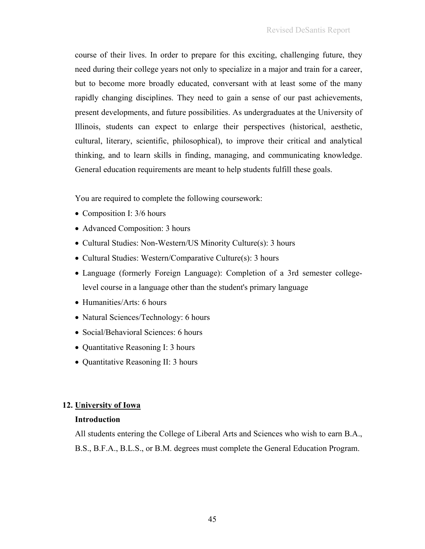course of their lives. In order to prepare for this exciting, challenging future, they need during their college years not only to specialize in a major and train for a career, but to become more broadly educated, conversant with at least some of the many rapidly changing disciplines. They need to gain a sense of our past achievements, present developments, and future possibilities. As undergraduates at the University of Illinois, students can expect to enlarge their perspectives (historical, aesthetic, cultural, literary, scientific, philosophical), to improve their critical and analytical thinking, and to learn skills in finding, managing, and communicating knowledge. General education requirements are meant to help students fulfill these goals.

You are required to complete the following coursework:

- Composition I: 3/6 hours
- Advanced Composition: 3 hours
- Cultural Studies: Non-Western/US Minority Culture(s): 3 hours
- Cultural Studies: Western/Comparative Culture(s): 3 hours
- Language (formerly Foreign Language): Completion of a 3rd semester collegelevel course in a language other than the student's primary language
- Humanities/Arts: 6 hours
- Natural Sciences/Technology: 6 hours
- Social/Behavioral Sciences: 6 hours
- Quantitative Reasoning I: 3 hours
- Quantitative Reasoning II: 3 hours

# **12. University of Iowa**

# **Introduction**

All students entering the College of Liberal Arts and Sciences who wish to earn B.A., B.S., B.F.A., B.L.S., or B.M. degrees must complete the General Education Program.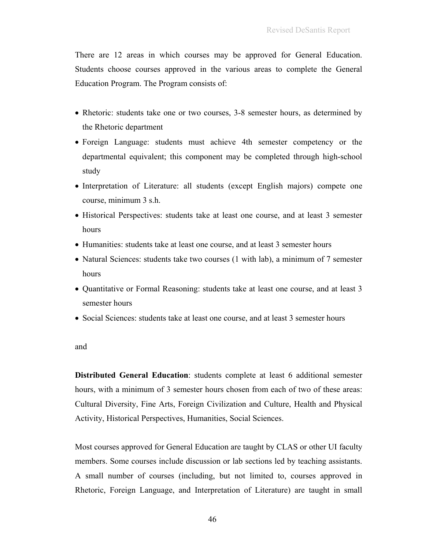There are 12 areas in which courses may be approved for General Education. Students choose courses approved in the various areas to complete the General Education Program. The Program consists of:

- Rhetoric: students take one or two courses, 3-8 semester hours, as determined by the Rhetoric department
- Foreign Language: students must achieve 4th semester competency or the departmental equivalent; this component may be completed through high-school study
- Interpretation of Literature: all students (except English majors) compete one course, minimum 3 s.h.
- Historical Perspectives: students take at least one course, and at least 3 semester hours
- Humanities: students take at least one course, and at least 3 semester hours
- Natural Sciences: students take two courses (1 with lab), a minimum of 7 semester hours
- Quantitative or Formal Reasoning: students take at least one course, and at least 3 semester hours
- Social Sciences: students take at least one course, and at least 3 semester hours

and

**Distributed General Education**: students complete at least 6 additional semester hours, with a minimum of 3 semester hours chosen from each of two of these areas: Cultural Diversity, Fine Arts, Foreign Civilization and Culture, Health and Physical Activity, Historical Perspectives, Humanities, Social Sciences.

Most courses approved for General Education are taught by CLAS or other UI faculty members. Some courses include discussion or lab sections led by teaching assistants. A small number of courses (including, but not limited to, courses approved in Rhetoric, Foreign Language, and Interpretation of Literature) are taught in small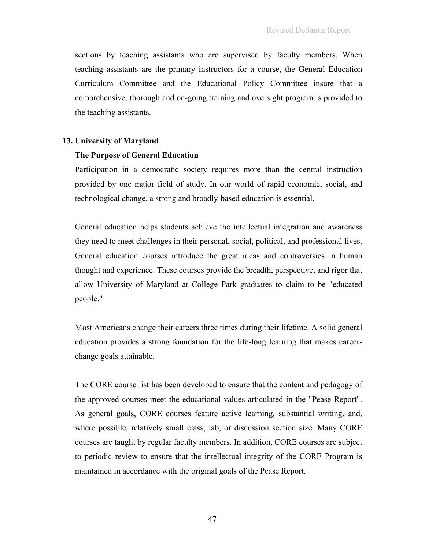sections by teaching assistants who are supervised by faculty members. When teaching assistants are the primary instructors for a course, the General Education Curriculum Committee and the Educational Policy Committee insure that a comprehensive, thorough and on-going training and oversight program is provided to the teaching assistants.

#### **13. University of Maryland**

#### **The Purpose of General Education**

Participation in a democratic society requires more than the central instruction provided by one major field of study. In our world of rapid economic, social, and technological change, a strong and broadly-based education is essential.

General education helps students achieve the intellectual integration and awareness they need to meet challenges in their personal, social, political, and professional lives. General education courses introduce the great ideas and controversies in human thought and experience. These courses provide the breadth, perspective, and rigor that allow University of Maryland at College Park graduates to claim to be "educated people."

Most Americans change their careers three times during their lifetime. A solid general education provides a strong foundation for the life-long learning that makes careerchange goals attainable.

The CORE course list has been developed to ensure that the content and pedagogy of the approved courses meet the educational values articulated in the "Pease Report". As general goals, CORE courses feature active learning, substantial writing, and, where possible, relatively small class, lab, or discussion section size. Many CORE courses are taught by regular faculty members. In addition, CORE courses are subject to periodic review to ensure that the intellectual integrity of the CORE Program is maintained in accordance with the original goals of the Pease Report.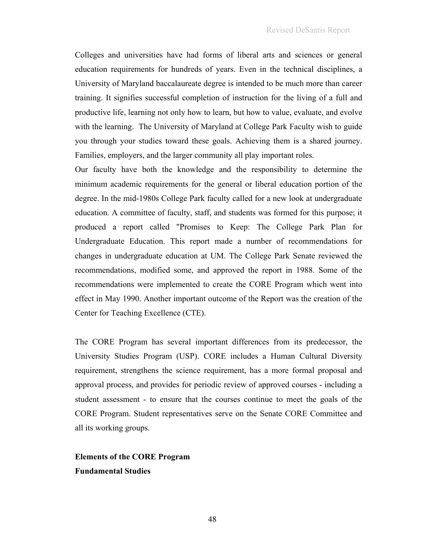Colleges and universities have had forms of liberal arts and sciences or general education requirements for hundreds of years. Even in the technical disciplines, a University of Maryland baccalaureate degree is intended to be much more than career training. It signifies successful completion of instruction for the living of a full and productive life, learning not only how to learn, but how to value, evaluate, and evolve with the learning. The University of Maryland at College Park Faculty wish to guide you through your studies toward these goals. Achieving them is a shared journey. Families, employers, and the larger community all play important roles.

Our faculty have both the knowledge and the responsibility to determine the minimum academic requirements for the general or liberal education portion of the degree. In the mid-1980s College Park faculty called for a new look at undergraduate education. A committee of faculty, staff, and students was formed for this purpose; it produced a report called "Promises to Keep: The College Park Plan for Undergraduate Education. This report made a number of recommendations for changes in undergraduate education at UM. The College Park Senate reviewed the recommendations, modified some, and approved the report in 1988. Some of the recommendations were implemented to create the CORE Program which went into effect in May 1990. Another important outcome of the Report was the creation of the Center for Teaching Excellence (CTE).

The CORE Program has several important differences from its predecessor, the University Studies Program (USP). CORE includes a Human Cultural Diversity requirement, strengthens the science requirement, has a more formal proposal and approval process, and provides for periodic review of approved courses - including a student assessment - to ensure that the courses continue to meet the goals of the CORE Program. Student representatives serve on the Senate CORE Committee and all its working groups.

**Elements of the CORE Program Fundamental Studies**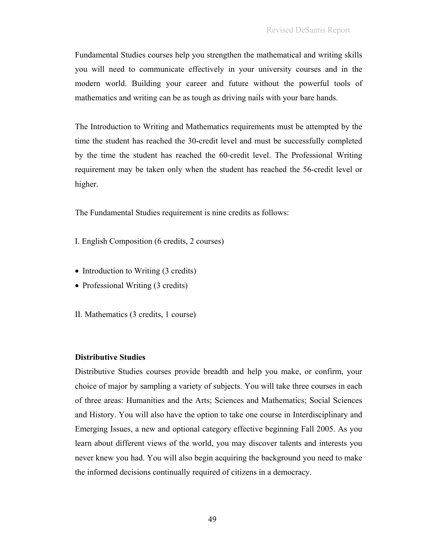Fundamental Studies courses help you strengthen the mathematical and writing skills you will need to communicate effectively in your university courses and in the modern world. Building your career and future without the powerful tools of mathematics and writing can be as tough as driving nails with your bare hands.

The Introduction to Writing and Mathematics requirements must be attempted by the time the student has reached the 30-credit level and must be successfully completed by the time the student has reached the 60-credit level. The Professional Writing requirement may be taken only when the student has reached the 56-credit level or higher.

The Fundamental Studies requirement is nine credits as follows:

- I. English Composition (6 credits, 2 courses)
- Introduction to Writing (3 credits)
- Professional Writing (3 credits)
- II. Mathematics (3 credits, 1 course)

## **Distributive Studies**

Distributive Studies courses provide breadth and help you make, or confirm, your choice of major by sampling a variety of subjects. You will take three courses in each of three areas: Humanities and the Arts; Sciences and Mathematics; Social Sciences and History. You will also have the option to take one course in Interdisciplinary and Emerging Issues, a new and optional category effective beginning Fall 2005. As you learn about different views of the world, you may discover talents and interests you never knew you had. You will also begin acquiring the background you need to make the informed decisions continually required of citizens in a democracy.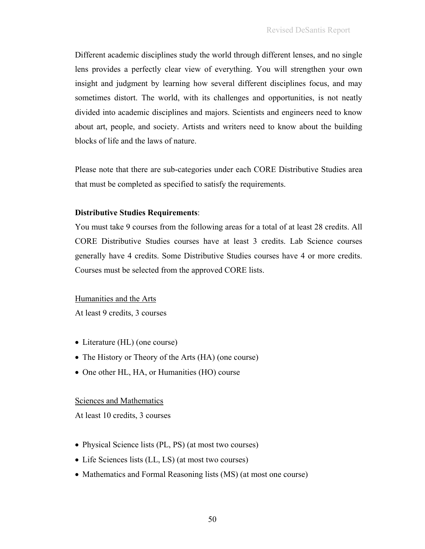Different academic disciplines study the world through different lenses, and no single lens provides a perfectly clear view of everything. You will strengthen your own insight and judgment by learning how several different disciplines focus, and may sometimes distort. The world, with its challenges and opportunities, is not neatly divided into academic disciplines and majors. Scientists and engineers need to know about art, people, and society. Artists and writers need to know about the building blocks of life and the laws of nature.

Please note that there are sub-categories under each CORE Distributive Studies area that must be completed as specified to satisfy the requirements.

## **Distributive Studies Requirements**:

You must take 9 courses from the following areas for a total of at least 28 credits. All CORE Distributive Studies courses have at least 3 credits. Lab Science courses generally have 4 credits. Some Distributive Studies courses have 4 or more credits. Courses must be selected from the approved CORE lists.

Humanities and the Arts

At least 9 credits, 3 courses

- Literature (HL) (one course)
- The History or Theory of the Arts (HA) (one course)
- One other HL, HA, or Humanities (HO) course

# Sciences and Mathematics

At least 10 credits, 3 courses

- Physical Science lists (PL, PS) (at most two courses)
- Life Sciences lists (LL, LS) (at most two courses)
- Mathematics and Formal Reasoning lists (MS) (at most one course)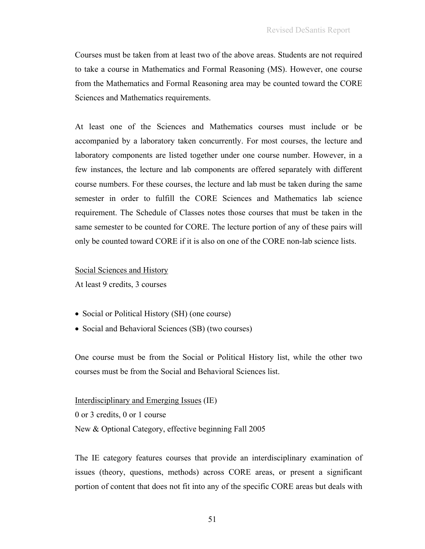Courses must be taken from at least two of the above areas. Students are not required to take a course in Mathematics and Formal Reasoning (MS). However, one course from the Mathematics and Formal Reasoning area may be counted toward the CORE Sciences and Mathematics requirements.

At least one of the Sciences and Mathematics courses must include or be accompanied by a laboratory taken concurrently. For most courses, the lecture and laboratory components are listed together under one course number. However, in a few instances, the lecture and lab components are offered separately with different course numbers. For these courses, the lecture and lab must be taken during the same semester in order to fulfill the CORE Sciences and Mathematics lab science requirement. The Schedule of Classes notes those courses that must be taken in the same semester to be counted for CORE. The lecture portion of any of these pairs will only be counted toward CORE if it is also on one of the CORE non-lab science lists.

Social Sciences and History

At least 9 credits, 3 courses

- Social or Political History (SH) (one course)
- Social and Behavioral Sciences (SB) (two courses)

One course must be from the Social or Political History list, while the other two courses must be from the Social and Behavioral Sciences list.

Interdisciplinary and Emerging Issues (IE)

0 or 3 credits, 0 or 1 course New & Optional Category, effective beginning Fall 2005

The IE category features courses that provide an interdisciplinary examination of issues (theory, questions, methods) across CORE areas, or present a significant portion of content that does not fit into any of the specific CORE areas but deals with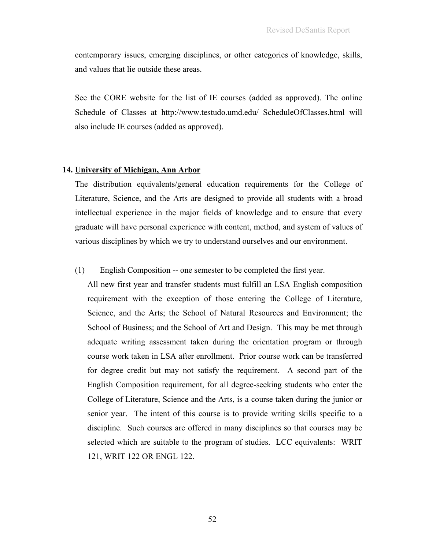contemporary issues, emerging disciplines, or other categories of knowledge, skills, and values that lie outside these areas.

See the CORE website for the list of IE courses (added as approved). The online Schedule of Classes at http://www.testudo.umd.edu/ ScheduleOfClasses.html will also include IE courses (added as approved).

### **14. University of Michigan, Ann Arbor**

The distribution equivalents/general education requirements for the College of Literature, Science, and the Arts are designed to provide all students with a broad intellectual experience in the major fields of knowledge and to ensure that every graduate will have personal experience with content, method, and system of values of various disciplines by which we try to understand ourselves and our environment.

### (1) English Composition -- one semester to be completed the first year.

All new first year and transfer students must fulfill an LSA English composition requirement with the exception of those entering the College of Literature, Science, and the Arts; the School of Natural Resources and Environment; the School of Business; and the School of Art and Design. This may be met through adequate writing assessment taken during the orientation program or through course work taken in LSA after enrollment. Prior course work can be transferred for degree credit but may not satisfy the requirement. A second part of the English Composition requirement, for all degree-seeking students who enter the College of Literature, Science and the Arts, is a course taken during the junior or senior year. The intent of this course is to provide writing skills specific to a discipline. Such courses are offered in many disciplines so that courses may be selected which are suitable to the program of studies. LCC equivalents: WRIT 121, WRIT 122 OR ENGL 122.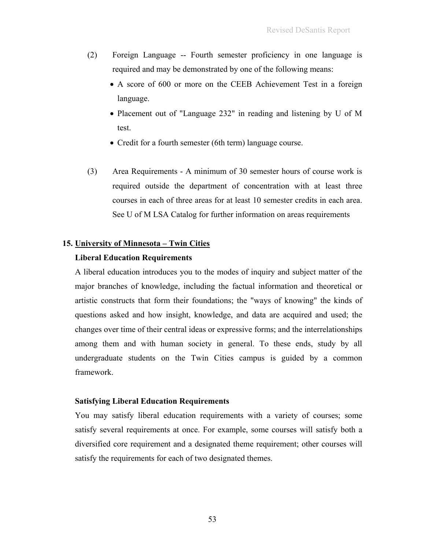- (2) Foreign Language -- Fourth semester proficiency in one language is required and may be demonstrated by one of the following means:
	- A score of 600 or more on the CEEB Achievement Test in a foreign language.
	- Placement out of "Language 232" in reading and listening by U of M test.
	- Credit for a fourth semester (6th term) language course.
- (3) Area Requirements A minimum of 30 semester hours of course work is required outside the department of concentration with at least three courses in each of three areas for at least 10 semester credits in each area. See U of M LSA Catalog for further information on areas requirements

# **15. University of Minnesota – Twin Cities**

### **Liberal Education Requirements**

A liberal education introduces you to the modes of inquiry and subject matter of the major branches of knowledge, including the factual information and theoretical or artistic constructs that form their foundations; the "ways of knowing" the kinds of questions asked and how insight, knowledge, and data are acquired and used; the changes over time of their central ideas or expressive forms; and the interrelationships among them and with human society in general. To these ends, study by all undergraduate students on the Twin Cities campus is guided by a common framework.

#### **Satisfying Liberal Education Requirements**

You may satisfy liberal education requirements with a variety of courses; some satisfy several requirements at once. For example, some courses will satisfy both a diversified core requirement and a designated theme requirement; other courses will satisfy the requirements for each of two designated themes.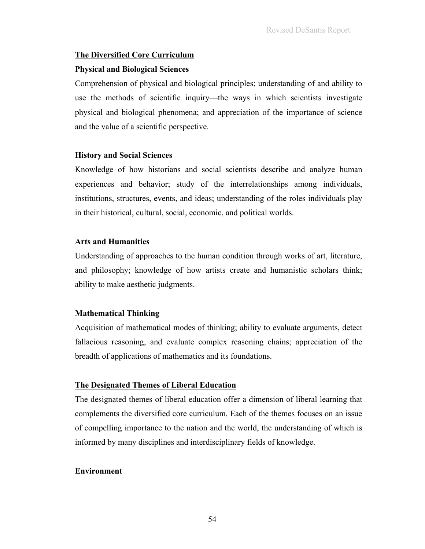# **The Diversified Core Curriculum**

### **Physical and Biological Sciences**

Comprehension of physical and biological principles; understanding of and ability to use the methods of scientific inquiry—the ways in which scientists investigate physical and biological phenomena; and appreciation of the importance of science and the value of a scientific perspective.

## **History and Social Sciences**

Knowledge of how historians and social scientists describe and analyze human experiences and behavior; study of the interrelationships among individuals, institutions, structures, events, and ideas; understanding of the roles individuals play in their historical, cultural, social, economic, and political worlds.

### **Arts and Humanities**

Understanding of approaches to the human condition through works of art, literature, and philosophy; knowledge of how artists create and humanistic scholars think; ability to make aesthetic judgments.

## **Mathematical Thinking**

Acquisition of mathematical modes of thinking; ability to evaluate arguments, detect fallacious reasoning, and evaluate complex reasoning chains; appreciation of the breadth of applications of mathematics and its foundations.

# **The Designated Themes of Liberal Education**

The designated themes of liberal education offer a dimension of liberal learning that complements the diversified core curriculum. Each of the themes focuses on an issue of compelling importance to the nation and the world, the understanding of which is informed by many disciplines and interdisciplinary fields of knowledge.

## **Environment**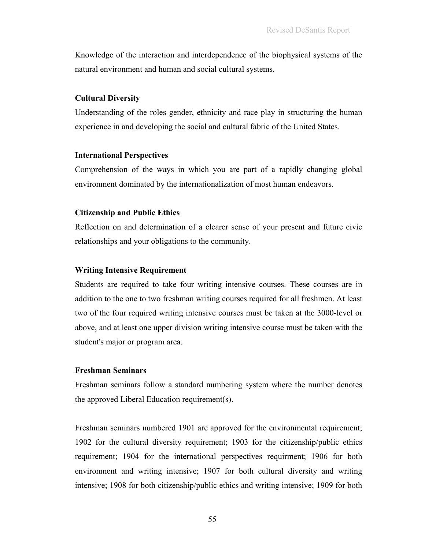Knowledge of the interaction and interdependence of the biophysical systems of the natural environment and human and social cultural systems.

### **Cultural Diversity**

Understanding of the roles gender, ethnicity and race play in structuring the human experience in and developing the social and cultural fabric of the United States.

#### **International Perspectives**

Comprehension of the ways in which you are part of a rapidly changing global environment dominated by the internationalization of most human endeavors.

#### **Citizenship and Public Ethics**

Reflection on and determination of a clearer sense of your present and future civic relationships and your obligations to the community.

#### **Writing Intensive Requirement**

Students are required to take four writing intensive courses. These courses are in addition to the one to two freshman writing courses required for all freshmen. At least two of the four required writing intensive courses must be taken at the 3000-level or above, and at least one upper division writing intensive course must be taken with the student's major or program area.

### **Freshman Seminars**

Freshman seminars follow a standard numbering system where the number denotes the approved Liberal Education requirement(s).

Freshman seminars numbered 1901 are approved for the environmental requirement; 1902 for the cultural diversity requirement; 1903 for the citizenship/public ethics requirement; 1904 for the international perspectives requirment; 1906 for both environment and writing intensive; 1907 for both cultural diversity and writing intensive; 1908 for both citizenship/public ethics and writing intensive; 1909 for both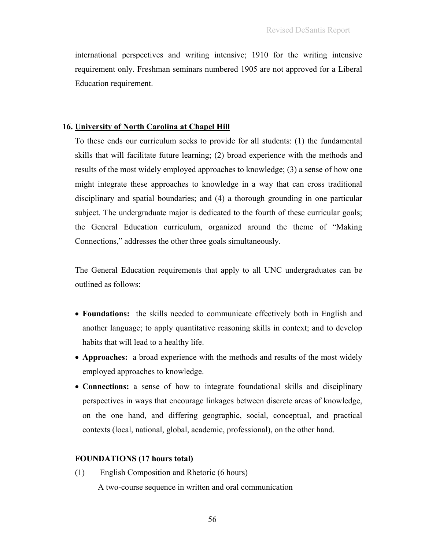international perspectives and writing intensive; 1910 for the writing intensive requirement only. Freshman seminars numbered 1905 are not approved for a Liberal Education requirement.

#### **16. University of North Carolina at Chapel Hill**

To these ends our curriculum seeks to provide for all students: (1) the fundamental skills that will facilitate future learning; (2) broad experience with the methods and results of the most widely employed approaches to knowledge; (3) a sense of how one might integrate these approaches to knowledge in a way that can cross traditional disciplinary and spatial boundaries; and (4) a thorough grounding in one particular subject. The undergraduate major is dedicated to the fourth of these curricular goals; the General Education curriculum, organized around the theme of "Making Connections," addresses the other three goals simultaneously.

The General Education requirements that apply to all UNC undergraduates can be outlined as follows:

- **Foundations:** the skills needed to communicate effectively both in English and another language; to apply quantitative reasoning skills in context; and to develop habits that will lead to a healthy life.
- **Approaches:** a broad experience with the methods and results of the most widely employed approaches to knowledge.
- **Connections:** a sense of how to integrate foundational skills and disciplinary perspectives in ways that encourage linkages between discrete areas of knowledge, on the one hand, and differing geographic, social, conceptual, and practical contexts (local, national, global, academic, professional), on the other hand.

## **FOUNDATIONS (17 hours total)**

(1) English Composition and Rhetoric (6 hours) A two-course sequence in written and oral communication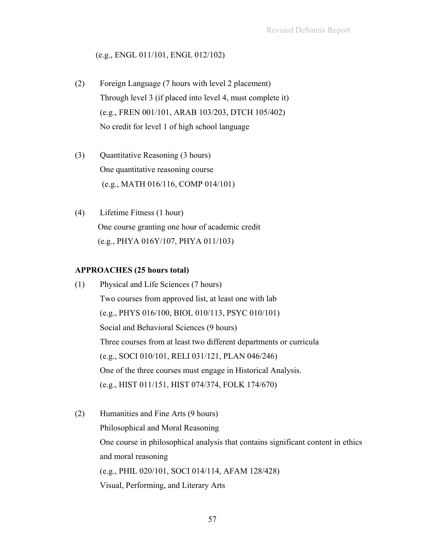# (e.g., ENGL 011/101, ENGL 012/102)

- (2) Foreign Language (7 hours with level 2 placement) Through level 3 (if placed into level 4, must complete it) (e.g., FREN 001/101, ARAB 103/203, DTCH 105/402) No credit for level 1 of high school language
- (3) Quantitative Reasoning (3 hours) One quantitative reasoning course (e.g., MATH 016/116, COMP 014/101)
- (4) Lifetime Fitness (1 hour) One course granting one hour of academic credit (e.g., PHYA 016Y/107, PHYA 011/103)

# **APPROACHES (25 hours total)**

- (1) Physical and Life Sciences (7 hours) Two courses from approved list, at least one with lab (e.g., PHYS 016/100, BIOL 010/113, PSYC 010/101) Social and Behavioral Sciences (9 hours) Three courses from at least two different departments or curricula (e.g., SOCI 010/101, RELI 031/121, PLAN 046/246) One of the three courses must engage in Historical Analysis. (e.g., HIST 011/151, HIST 074/374, FOLK 174/670)
- (2) Humanities and Fine Arts (9 hours) Philosophical and Moral Reasoning One course in philosophical analysis that contains significant content in ethics and moral reasoning (e.g., PHIL 020/101, SOCI 014/114, AFAM 128/428) Visual, Performing, and Literary Arts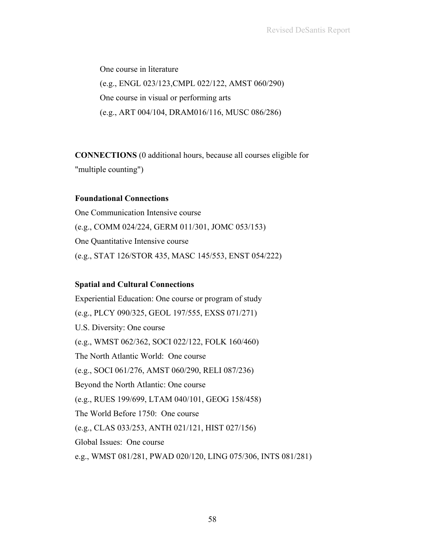One course in literature (e.g., ENGL 023/123,CMPL 022/122, AMST 060/290) One course in visual or performing arts (e.g., ART 004/104, DRAM016/116, MUSC 086/286)

**CONNECTIONS** (0 additional hours, because all courses eligible for "multiple counting")

# **Foundational Connections**

One Communication Intensive course (e.g., COMM 024/224, GERM 011/301, JOMC 053/153) One Quantitative Intensive course (e.g., STAT 126/STOR 435, MASC 145/553, ENST 054/222)

# **Spatial and Cultural Connections**

Experiential Education: One course or program of study (e.g., PLCY 090/325, GEOL 197/555, EXSS 071/271) U.S. Diversity: One course (e.g., WMST 062/362, SOCI 022/122, FOLK 160/460) The North Atlantic World: One course (e.g., SOCI 061/276, AMST 060/290, RELI 087/236) Beyond the North Atlantic: One course (e.g., RUES 199/699, LTAM 040/101, GEOG 158/458) The World Before 1750: One course (e.g., CLAS 033/253, ANTH 021/121, HIST 027/156) Global Issues: One course e.g., WMST 081/281, PWAD 020/120, LING 075/306, INTS 081/281)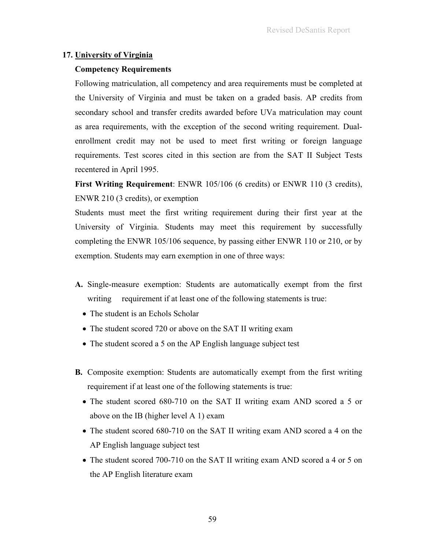# **17. University of Virginia**

# **Competency Requirements**

Following matriculation, all competency and area requirements must be completed at the University of Virginia and must be taken on a graded basis. AP credits from secondary school and transfer credits awarded before UVa matriculation may count as area requirements, with the exception of the second writing requirement. Dualenrollment credit may not be used to meet first writing or foreign language requirements. Test scores cited in this section are from the SAT II Subject Tests recentered in April 1995.

**First Writing Requirement**: ENWR 105/106 (6 credits) or ENWR 110 (3 credits), ENWR 210 (3 credits), or exemption

Students must meet the first writing requirement during their first year at the University of Virginia. Students may meet this requirement by successfully completing the ENWR 105/106 sequence, by passing either ENWR 110 or 210, or by exemption. Students may earn exemption in one of three ways:

- **A.** Single-measure exemption: Students are automatically exempt from the first writing requirement if at least one of the following statements is true:
	- The student is an Echols Scholar
	- The student scored 720 or above on the SAT II writing exam
	- The student scored a 5 on the AP English language subject test
- **B.** Composite exemption: Students are automatically exempt from the first writing requirement if at least one of the following statements is true:
	- The student scored 680-710 on the SAT II writing exam AND scored a 5 or above on the IB (higher level A 1) exam
	- The student scored 680-710 on the SAT II writing exam AND scored a 4 on the AP English language subject test
	- The student scored 700-710 on the SAT II writing exam AND scored a 4 or 5 on the AP English literature exam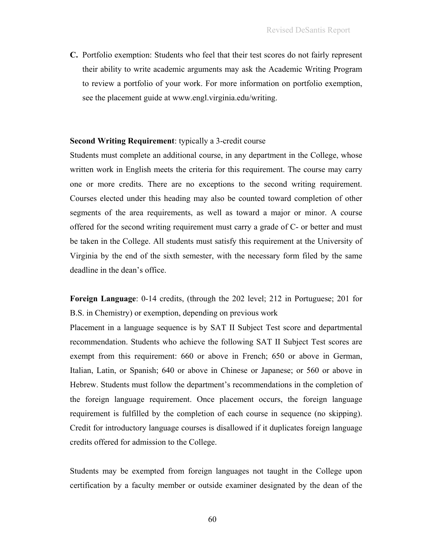**C.** Portfolio exemption: Students who feel that their test scores do not fairly represent their ability to write academic arguments may ask the Academic Writing Program to review a portfolio of your work. For more information on portfolio exemption, see the placement guide at www.engl.virginia.edu/writing.

#### **Second Writing Requirement**: typically a 3-credit course

Students must complete an additional course, in any department in the College, whose written work in English meets the criteria for this requirement. The course may carry one or more credits. There are no exceptions to the second writing requirement. Courses elected under this heading may also be counted toward completion of other segments of the area requirements, as well as toward a major or minor. A course offered for the second writing requirement must carry a grade of C- or better and must be taken in the College. All students must satisfy this requirement at the University of Virginia by the end of the sixth semester, with the necessary form filed by the same deadline in the dean's office.

**Foreign Language**: 0-14 credits, (through the 202 level; 212 in Portuguese; 201 for B.S. in Chemistry) or exemption, depending on previous work

Placement in a language sequence is by SAT II Subject Test score and departmental recommendation. Students who achieve the following SAT II Subject Test scores are exempt from this requirement: 660 or above in French; 650 or above in German, Italian, Latin, or Spanish; 640 or above in Chinese or Japanese; or 560 or above in Hebrew. Students must follow the department's recommendations in the completion of the foreign language requirement. Once placement occurs, the foreign language requirement is fulfilled by the completion of each course in sequence (no skipping). Credit for introductory language courses is disallowed if it duplicates foreign language credits offered for admission to the College.

Students may be exempted from foreign languages not taught in the College upon certification by a faculty member or outside examiner designated by the dean of the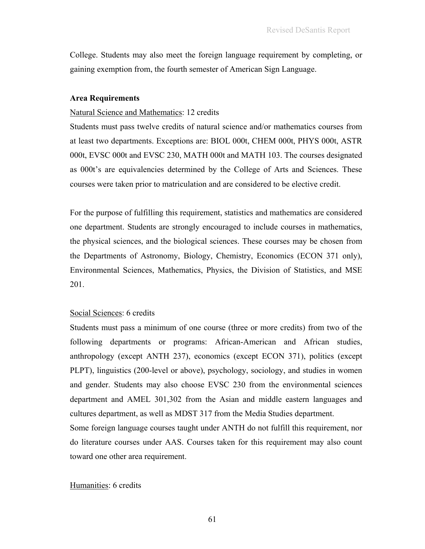College. Students may also meet the foreign language requirement by completing, or gaining exemption from, the fourth semester of American Sign Language.

#### **Area Requirements**

#### Natural Science and Mathematics: 12 credits

Students must pass twelve credits of natural science and/or mathematics courses from at least two departments. Exceptions are: BIOL 000t, CHEM 000t, PHYS 000t, ASTR 000t, EVSC 000t and EVSC 230, MATH 000t and MATH 103. The courses designated as 000t's are equivalencies determined by the College of Arts and Sciences. These courses were taken prior to matriculation and are considered to be elective credit.

For the purpose of fulfilling this requirement, statistics and mathematics are considered one department. Students are strongly encouraged to include courses in mathematics, the physical sciences, and the biological sciences. These courses may be chosen from the Departments of Astronomy, Biology, Chemistry, Economics (ECON 371 only), Environmental Sciences, Mathematics, Physics, the Division of Statistics, and MSE 201.

### Social Sciences: 6 credits

Students must pass a minimum of one course (three or more credits) from two of the following departments or programs: African-American and African studies, anthropology (except ANTH 237), economics (except ECON 371), politics (except PLPT), linguistics (200-level or above), psychology, sociology, and studies in women and gender. Students may also choose EVSC 230 from the environmental sciences department and AMEL 301,302 from the Asian and middle eastern languages and cultures department, as well as MDST 317 from the Media Studies department.

Some foreign language courses taught under ANTH do not fulfill this requirement, nor do literature courses under AAS. Courses taken for this requirement may also count toward one other area requirement.

#### Humanities: 6 credits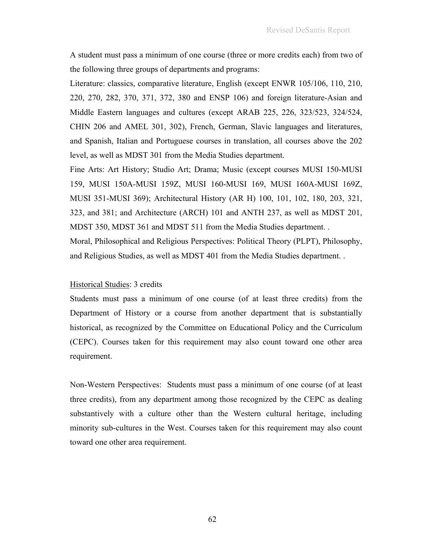A student must pass a minimum of one course (three or more credits each) from two of the following three groups of departments and programs:

Literature: classics, comparative literature, English (except ENWR 105/106, 110, 210, 220, 270, 282, 370, 371, 372, 380 and ENSP 106) and foreign literature-Asian and Middle Eastern languages and cultures (except ARAB 225, 226, 323/523, 324/524, CHIN 206 and AMEL 301, 302), French, German, Slavic languages and literatures, and Spanish, Italian and Portuguese courses in translation, all courses above the 202 level, as well as MDST 301 from the Media Studies department.

Fine Arts: Art History; Studio Art; Drama; Music (except courses MUSI 150-MUSI 159, MUSI 150A-MUSI 159Z, MUSI 160-MUSI 169, MUSI 160A-MUSI 169Z, MUSI 351-MUSI 369); Architectural History (AR H) 100, 101, 102, 180, 203, 321, 323, and 381; and Architecture (ARCH) 101 and ANTH 237, as well as MDST 201, MDST 350, MDST 361 and MDST 511 from the Media Studies department. . Moral, Philosophical and Religious Perspectives: Political Theory (PLPT), Philosophy, and Religious Studies, as well as MDST 401 from the Media Studies department. .

#### Historical Studies: 3 credits

Students must pass a minimum of one course (of at least three credits) from the Department of History or a course from another department that is substantially historical, as recognized by the Committee on Educational Policy and the Curriculum (CEPC). Courses taken for this requirement may also count toward one other area requirement.

Non-Western Perspectives: Students must pass a minimum of one course (of at least three credits), from any department among those recognized by the CEPC as dealing substantively with a culture other than the Western cultural heritage, including minority sub-cultures in the West. Courses taken for this requirement may also count toward one other area requirement.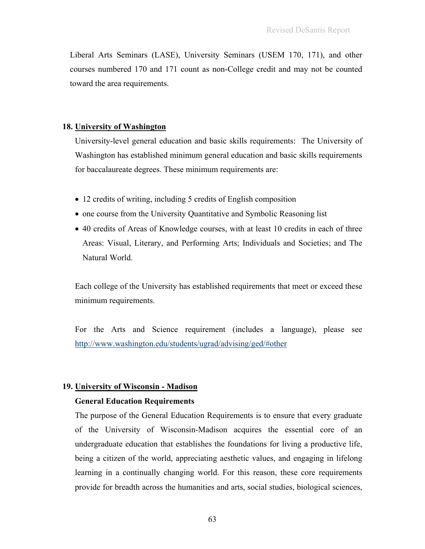Liberal Arts Seminars (LASE), University Seminars (USEM 170, 171), and other courses numbered 170 and 171 count as non-College credit and may not be counted toward the area requirements.

#### **18. University of Washington**

University-level general education and basic skills requirements: The University of Washington has established minimum general education and basic skills requirements for baccalaureate degrees. These minimum requirements are:

- 12 credits of writing, including 5 credits of English composition
- one course from the University Quantitative and Symbolic Reasoning list
- 40 credits of Areas of Knowledge courses, with at least 10 credits in each of three Areas: Visual, Literary, and Performing Arts; Individuals and Societies; and The Natural World.

Each college of the University has established requirements that meet or exceed these minimum requirements.

For the Arts and Science requirement (includes a language), please see http://www.washington.edu/students/ugrad/advising/ged/#other

## **19. University of Wisconsin - Madison**

## **General Education Requirements**

The purpose of the General Education Requirements is to ensure that every graduate of the University of Wisconsin-Madison acquires the essential core of an undergraduate education that establishes the foundations for living a productive life, being a citizen of the world, appreciating aesthetic values, and engaging in lifelong learning in a continually changing world. For this reason, these core requirements provide for breadth across the humanities and arts, social studies, biological sciences,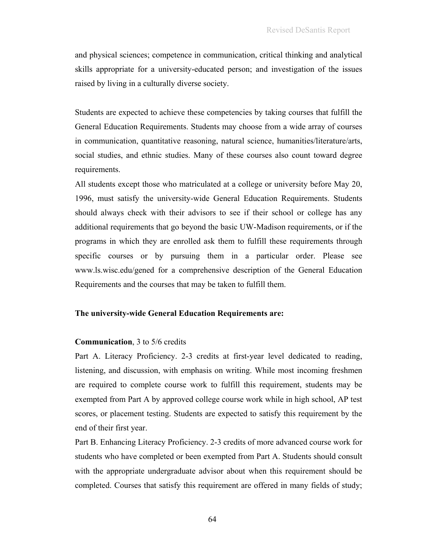and physical sciences; competence in communication, critical thinking and analytical skills appropriate for a university-educated person; and investigation of the issues raised by living in a culturally diverse society.

Students are expected to achieve these competencies by taking courses that fulfill the General Education Requirements. Students may choose from a wide array of courses in communication, quantitative reasoning, natural science, humanities/literature/arts, social studies, and ethnic studies. Many of these courses also count toward degree requirements.

All students except those who matriculated at a college or university before May 20, 1996, must satisfy the university-wide General Education Requirements. Students should always check with their advisors to see if their school or college has any additional requirements that go beyond the basic UW-Madison requirements, or if the programs in which they are enrolled ask them to fulfill these requirements through specific courses or by pursuing them in a particular order. Please see www.ls.wisc.edu/gened for a comprehensive description of the General Education Requirements and the courses that may be taken to fulfill them.

### **The university-wide General Education Requirements are:**

#### **Communication**, 3 to 5/6 credits

Part A. Literacy Proficiency. 2-3 credits at first-year level dedicated to reading, listening, and discussion, with emphasis on writing. While most incoming freshmen are required to complete course work to fulfill this requirement, students may be exempted from Part A by approved college course work while in high school, AP test scores, or placement testing. Students are expected to satisfy this requirement by the end of their first year.

Part B. Enhancing Literacy Proficiency. 2-3 credits of more advanced course work for students who have completed or been exempted from Part A. Students should consult with the appropriate undergraduate advisor about when this requirement should be completed. Courses that satisfy this requirement are offered in many fields of study;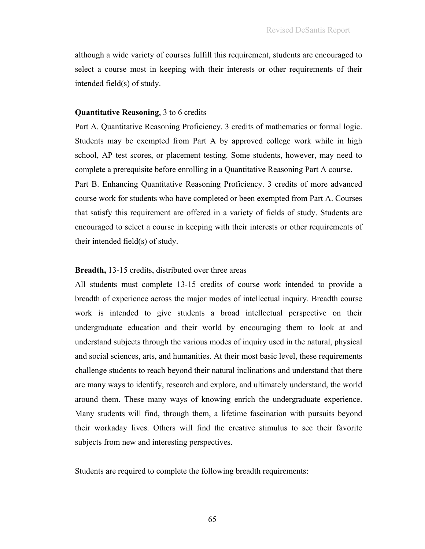although a wide variety of courses fulfill this requirement, students are encouraged to select a course most in keeping with their interests or other requirements of their intended field(s) of study.

#### **Quantitative Reasoning**, 3 to 6 credits

Part A. Quantitative Reasoning Proficiency. 3 credits of mathematics or formal logic. Students may be exempted from Part A by approved college work while in high school, AP test scores, or placement testing. Some students, however, may need to complete a prerequisite before enrolling in a Quantitative Reasoning Part A course. Part B. Enhancing Quantitative Reasoning Proficiency. 3 credits of more advanced course work for students who have completed or been exempted from Part A. Courses that satisfy this requirement are offered in a variety of fields of study. Students are encouraged to select a course in keeping with their interests or other requirements of their intended field(s) of study.

### **Breadth,** 13-15 credits, distributed over three areas

All students must complete 13-15 credits of course work intended to provide a breadth of experience across the major modes of intellectual inquiry. Breadth course work is intended to give students a broad intellectual perspective on their undergraduate education and their world by encouraging them to look at and understand subjects through the various modes of inquiry used in the natural, physical and social sciences, arts, and humanities. At their most basic level, these requirements challenge students to reach beyond their natural inclinations and understand that there are many ways to identify, research and explore, and ultimately understand, the world around them. These many ways of knowing enrich the undergraduate experience. Many students will find, through them, a lifetime fascination with pursuits beyond their workaday lives. Others will find the creative stimulus to see their favorite subjects from new and interesting perspectives.

Students are required to complete the following breadth requirements: